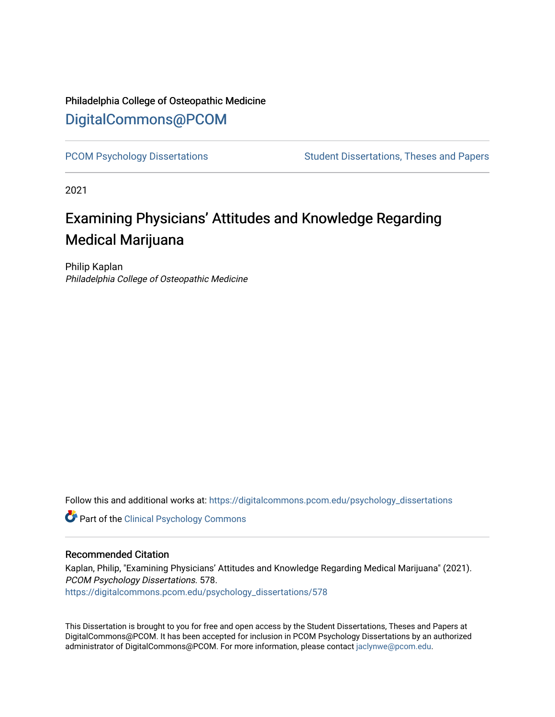# Philadelphia College of Osteopathic Medicine [DigitalCommons@PCOM](https://digitalcommons.pcom.edu/)

[PCOM Psychology Dissertations](https://digitalcommons.pcom.edu/psychology_dissertations) Student Dissertations, Theses and Papers

2021

# Examining Physicians' Attitudes and Knowledge Regarding Medical Marijuana

Philip Kaplan Philadelphia College of Osteopathic Medicine

Follow this and additional works at: [https://digitalcommons.pcom.edu/psychology\\_dissertations](https://digitalcommons.pcom.edu/psychology_dissertations?utm_source=digitalcommons.pcom.edu%2Fpsychology_dissertations%2F578&utm_medium=PDF&utm_campaign=PDFCoverPages)

**Part of the Clinical Psychology Commons** 

# Recommended Citation

Kaplan, Philip, "Examining Physicians' Attitudes and Knowledge Regarding Medical Marijuana" (2021). PCOM Psychology Dissertations. 578. [https://digitalcommons.pcom.edu/psychology\\_dissertations/578](https://digitalcommons.pcom.edu/psychology_dissertations/578?utm_source=digitalcommons.pcom.edu%2Fpsychology_dissertations%2F578&utm_medium=PDF&utm_campaign=PDFCoverPages) 

This Dissertation is brought to you for free and open access by the Student Dissertations, Theses and Papers at DigitalCommons@PCOM. It has been accepted for inclusion in PCOM Psychology Dissertations by an authorized administrator of DigitalCommons@PCOM. For more information, please contact [jaclynwe@pcom.edu.](mailto:jaclynwe@pcom.edu)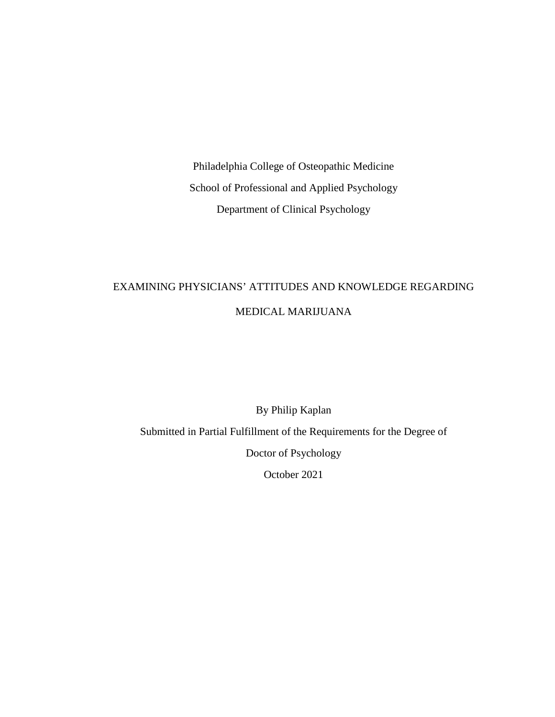Philadelphia College of Osteopathic Medicine School of Professional and Applied Psychology Department of Clinical Psychology

# EXAMINING PHYSICIANS' ATTITUDES AND KNOWLEDGE REGARDING MEDICAL MARIJUANA

By Philip Kaplan Submitted in Partial Fulfillment of the Requirements for the Degree of Doctor of Psychology October 2021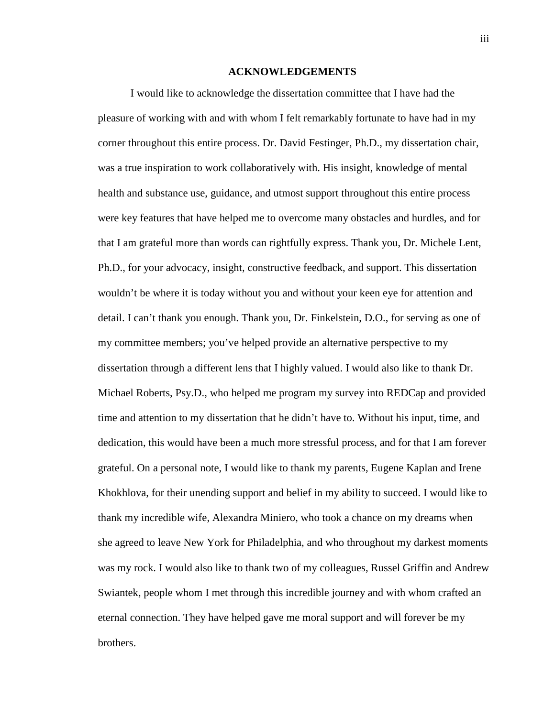#### **ACKNOWLEDGEMENTS**

I would like to acknowledge the dissertation committee that I have had the pleasure of working with and with whom I felt remarkably fortunate to have had in my corner throughout this entire process. Dr. David Festinger, Ph.D., my dissertation chair, was a true inspiration to work collaboratively with. His insight, knowledge of mental health and substance use, guidance, and utmost support throughout this entire process were key features that have helped me to overcome many obstacles and hurdles, and for that I am grateful more than words can rightfully express. Thank you, Dr. Michele Lent, Ph.D., for your advocacy, insight, constructive feedback, and support. This dissertation wouldn't be where it is today without you and without your keen eye for attention and detail. I can't thank you enough. Thank you, Dr. Finkelstein, D.O., for serving as one of my committee members; you've helped provide an alternative perspective to my dissertation through a different lens that I highly valued. I would also like to thank Dr. Michael Roberts, Psy.D., who helped me program my survey into REDCap and provided time and attention to my dissertation that he didn't have to. Without his input, time, and dedication, this would have been a much more stressful process, and for that I am forever grateful. On a personal note, I would like to thank my parents, Eugene Kaplan and Irene Khokhlova, for their unending support and belief in my ability to succeed. I would like to thank my incredible wife, Alexandra Miniero, who took a chance on my dreams when she agreed to leave New York for Philadelphia, and who throughout my darkest moments was my rock. I would also like to thank two of my colleagues, Russel Griffin and Andrew Swiantek, people whom I met through this incredible journey and with whom crafted an eternal connection. They have helped gave me moral support and will forever be my brothers.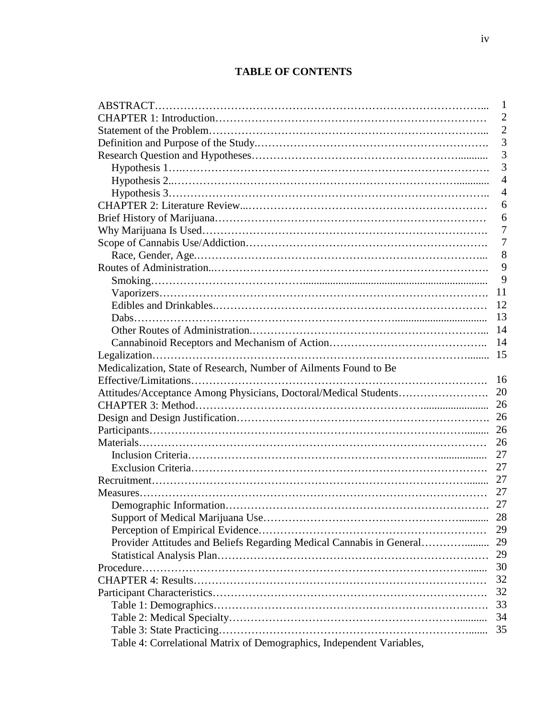# **TABLE OF CONTENTS**

|                                                                       | 1              |
|-----------------------------------------------------------------------|----------------|
|                                                                       | $\overline{2}$ |
|                                                                       | $\overline{2}$ |
|                                                                       | 3              |
|                                                                       | 3              |
|                                                                       | 3              |
|                                                                       | $\overline{4}$ |
|                                                                       | $\overline{4}$ |
|                                                                       | 6              |
|                                                                       | 6              |
|                                                                       | 7              |
|                                                                       | $\overline{7}$ |
|                                                                       | 8              |
|                                                                       | 9              |
|                                                                       | 9              |
|                                                                       | 11             |
|                                                                       | 12             |
|                                                                       | 13             |
|                                                                       | 14             |
|                                                                       | 14             |
|                                                                       | 15             |
| Medicalization, State of Research, Number of Ailments Found to Be     |                |
|                                                                       | 16             |
| Attitudes/Acceptance Among Physicians, Doctoral/Medical Students      | 20             |
|                                                                       | 26             |
|                                                                       |                |
|                                                                       |                |
|                                                                       | 26             |
|                                                                       | 27             |
|                                                                       | 27             |
|                                                                       | 27             |
|                                                                       | 27             |
|                                                                       | 27             |
|                                                                       |                |
|                                                                       | 29             |
| Provider Attitudes and Beliefs Regarding Medical Cannabis in General  | 29             |
|                                                                       | 29             |
|                                                                       | 30             |
|                                                                       | 32             |
|                                                                       | 32             |
|                                                                       | 33             |
|                                                                       | 34             |
|                                                                       | 35             |
| Table 4: Correlational Matrix of Demographics, Independent Variables, |                |
|                                                                       |                |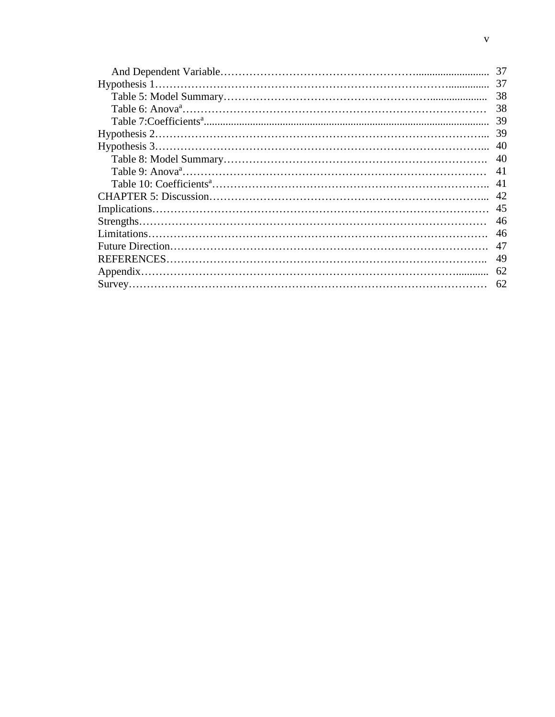| 37  |
|-----|
| 37  |
| 38  |
| 38  |
| -39 |
|     |
| 40  |
| 40  |
| 41  |
| 41  |
|     |
|     |
| 46  |
| -46 |
| 47  |
| -49 |
|     |
| 62  |
|     |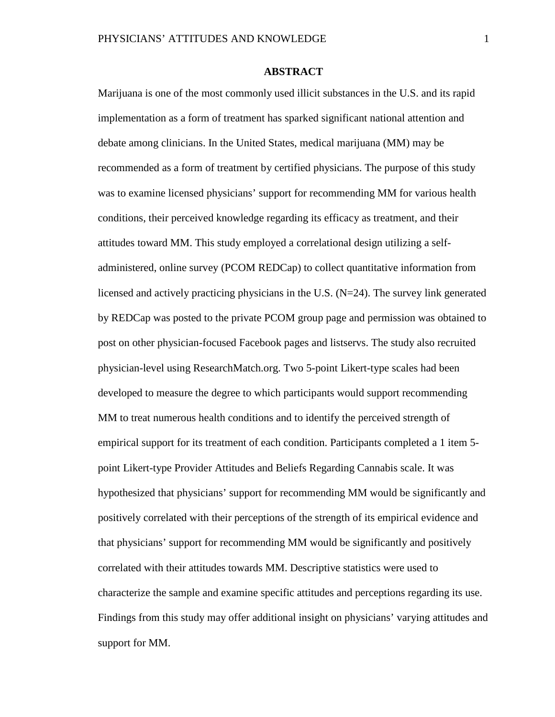# **ABSTRACT**

Marijuana is one of the most commonly used illicit substances in the U.S. and its rapid implementation as a form of treatment has sparked significant national attention and debate among clinicians. In the United States, medical marijuana (MM) may be recommended as a form of treatment by certified physicians. The purpose of this study was to examine licensed physicians' support for recommending MM for various health conditions, their perceived knowledge regarding its efficacy as treatment, and their attitudes toward MM. This study employed a correlational design utilizing a selfadministered, online survey (PCOM REDCap) to collect quantitative information from licensed and actively practicing physicians in the U.S.  $(N=24)$ . The survey link generated by REDCap was posted to the private PCOM group page and permission was obtained to post on other physician-focused Facebook pages and listservs. The study also recruited physician-level using ResearchMatch.org. Two 5-point Likert-type scales had been developed to measure the degree to which participants would support recommending MM to treat numerous health conditions and to identify the perceived strength of empirical support for its treatment of each condition. Participants completed a 1 item 5 point Likert-type Provider Attitudes and Beliefs Regarding Cannabis scale. It was hypothesized that physicians' support for recommending MM would be significantly and positively correlated with their perceptions of the strength of its empirical evidence and that physicians' support for recommending MM would be significantly and positively correlated with their attitudes towards MM. Descriptive statistics were used to characterize the sample and examine specific attitudes and perceptions regarding its use. Findings from this study may offer additional insight on physicians' varying attitudes and support for MM.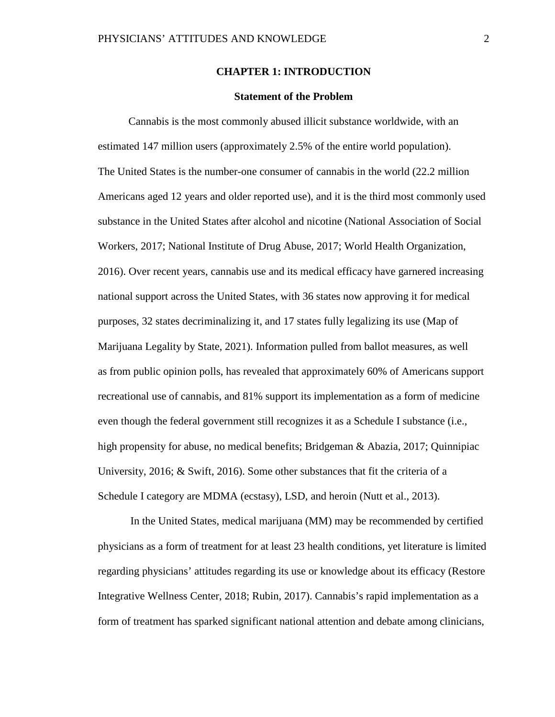## **CHAPTER 1: INTRODUCTION**

#### **Statement of the Problem**

Cannabis is the most commonly abused illicit substance worldwide, with an estimated 147 million users (approximately 2.5% of the entire world population). The United States is the number-one consumer of cannabis in the world (22.2 million Americans aged 12 years and older reported use), and it is the third most commonly used substance in the United States after alcohol and nicotine (National Association of Social Workers, 2017; National Institute of Drug Abuse, 2017; World Health Organization, 2016). Over recent years, cannabis use and its medical efficacy have garnered increasing national support across the United States, with 36 states now approving it for medical purposes, 32 states decriminalizing it, and 17 states fully legalizing its use (Map of Marijuana Legality by State, 2021). Information pulled from ballot measures, as well as from public opinion polls, has revealed that approximately 60% of Americans support recreational use of cannabis, and 81% support its implementation as a form of medicine even though the federal government still recognizes it as a Schedule I substance (i.e., high propensity for abuse, no medical benefits; Bridgeman & Abazia, 2017; Quinnipiac University, 2016; & Swift, 2016). Some other substances that fit the criteria of a Schedule I category are MDMA (ecstasy), LSD, and heroin (Nutt et al., 2013).

In the United States, medical marijuana (MM) may be recommended by certified physicians as a form of treatment for at least 23 health conditions, yet literature is limited regarding physicians' attitudes regarding its use or knowledge about its efficacy (Restore Integrative Wellness Center, 2018; Rubin, 2017). Cannabis's rapid implementation as a form of treatment has sparked significant national attention and debate among clinicians,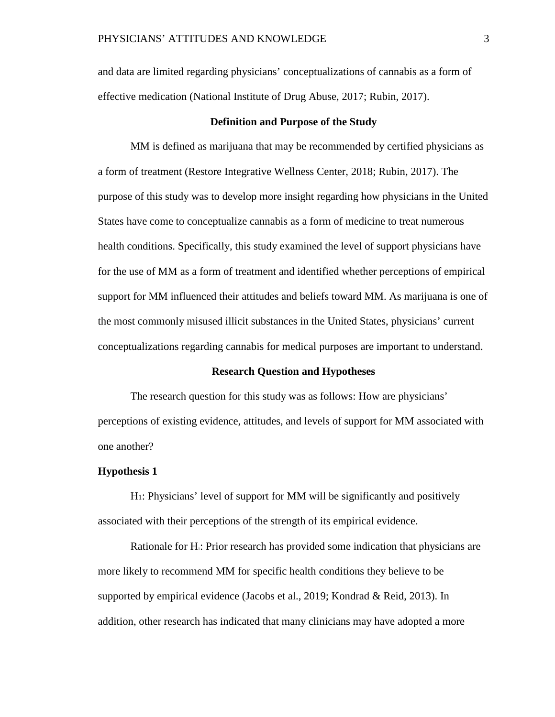and data are limited regarding physicians' conceptualizations of cannabis as a form of effective medication (National Institute of Drug Abuse, 2017; Rubin, 2017).

#### **Definition and Purpose of the Study**

MM is defined as marijuana that may be recommended by certified physicians as a form of treatment (Restore Integrative Wellness Center, 2018; Rubin, 2017). The purpose of this study was to develop more insight regarding how physicians in the United States have come to conceptualize cannabis as a form of medicine to treat numerous health conditions. Specifically, this study examined the level of support physicians have for the use of MM as a form of treatment and identified whether perceptions of empirical support for MM influenced their attitudes and beliefs toward MM. As marijuana is one of the most commonly misused illicit substances in the United States, physicians' current conceptualizations regarding cannabis for medical purposes are important to understand.

#### **Research Question and Hypotheses**

The research question for this study was as follows: How are physicians' perceptions of existing evidence, attitudes, and levels of support for MM associated with one another?

#### **Hypothesis 1**

H1: Physicians' level of support for MM will be significantly and positively associated with their perceptions of the strength of its empirical evidence.

Rationale for H<sub>1</sub>: Prior research has provided some indication that physicians are more likely to recommend MM for specific health conditions they believe to be supported by empirical evidence (Jacobs et al., 2019; Kondrad & Reid, 2013). In addition, other research has indicated that many clinicians may have adopted a more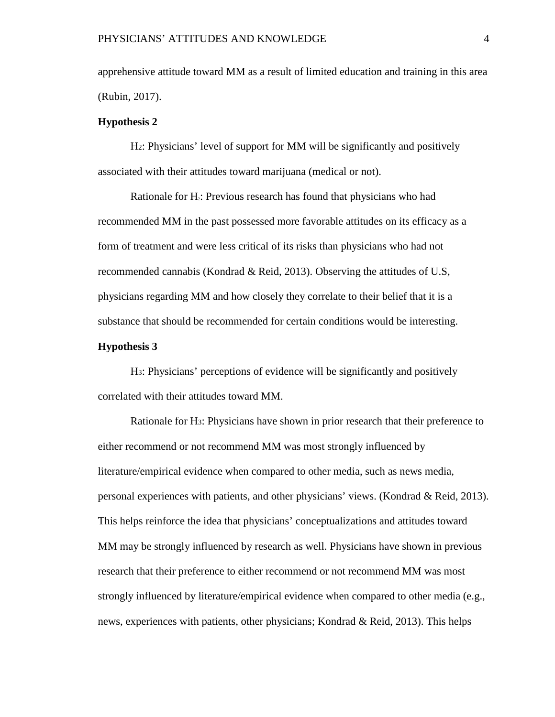apprehensive attitude toward MM as a result of limited education and training in this area (Rubin, 2017).

# **Hypothesis 2**

H2: Physicians' level of support for MM will be significantly and positively associated with their attitudes toward marijuana (medical or not).

Rationale for  $H_2$ : Previous research has found that physicians who had recommended MM in the past possessed more favorable attitudes on its efficacy as a form of treatment and were less critical of its risks than physicians who had not recommended cannabis (Kondrad & Reid, 2013). Observing the attitudes of U.S, physicians regarding MM and how closely they correlate to their belief that it is a substance that should be recommended for certain conditions would be interesting.

# **Hypothesis 3**

H3: Physicians' perceptions of evidence will be significantly and positively correlated with their attitudes toward MM.

Rationale for H3: Physicians have shown in prior research that their preference to either recommend or not recommend MM was most strongly influenced by literature/empirical evidence when compared to other media, such as news media, personal experiences with patients, and other physicians' views. (Kondrad & Reid, 2013). This helps reinforce the idea that physicians' conceptualizations and attitudes toward MM may be strongly influenced by research as well. Physicians have shown in previous research that their preference to either recommend or not recommend MM was most strongly influenced by literature/empirical evidence when compared to other media (e.g., news, experiences with patients, other physicians; Kondrad & Reid, 2013). This helps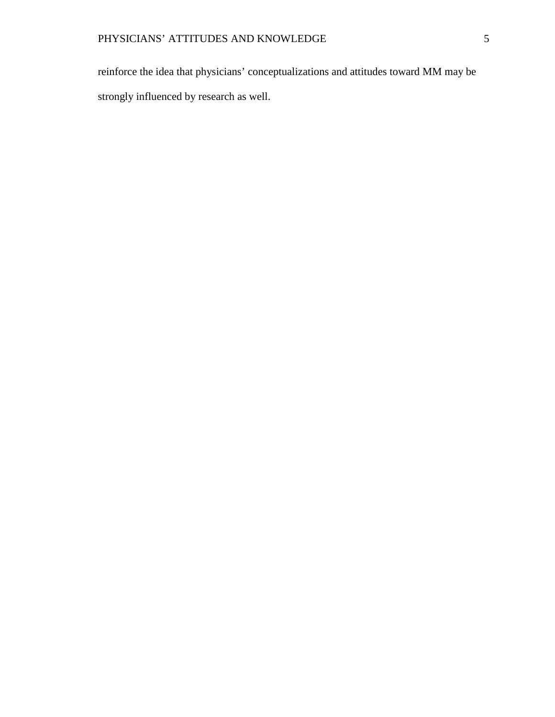reinforce the idea that physicians' conceptualizations and attitudes toward MM may be strongly influenced by research as well.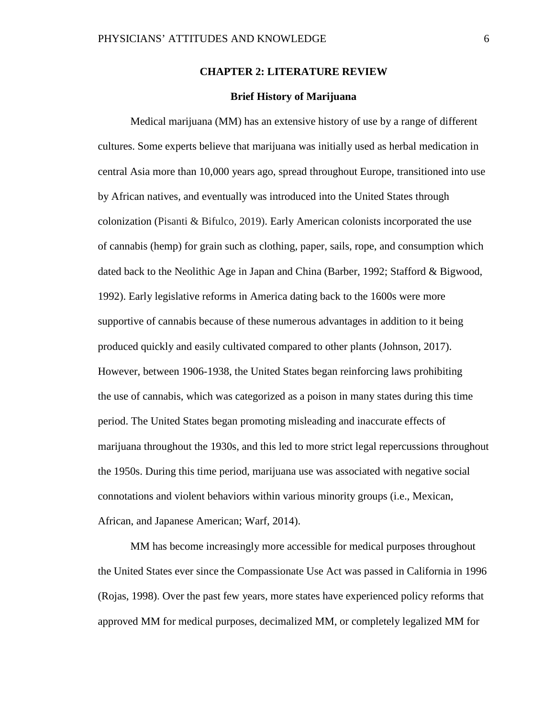#### **CHAPTER 2: LITERATURE REVIEW**

#### **Brief History of Marijuana**

Medical marijuana (MM) has an extensive history of use by a range of different cultures. Some experts believe that marijuana was initially used as herbal medication in central Asia more than 10,000 years ago, spread throughout Europe, transitioned into use by African natives, and eventually was introduced into the United States through colonization (Pisanti & Bifulco, 2019). Early American colonists incorporated the use of cannabis (hemp) for grain such as clothing, paper, sails, rope, and consumption which dated back to the Neolithic Age in Japan and China (Barber, 1992; Stafford & Bigwood, 1992). Early legislative reforms in America dating back to the 1600s were more supportive of cannabis because of these numerous advantages in addition to it being produced quickly and easily cultivated compared to other plants (Johnson, 2017). However, between 1906-1938, the United States began reinforcing laws prohibiting the use of cannabis, which was categorized as a poison in many states during this time period. The United States began promoting misleading and inaccurate effects of marijuana throughout the 1930s, and this led to more strict legal repercussions throughout the 1950s. During this time period, marijuana use was associated with negative social connotations and violent behaviors within various minority groups (i.e., Mexican, African, and Japanese American; Warf, 2014).

MM has become increasingly more accessible for medical purposes throughout the United States ever since the Compassionate Use Act was passed in California in 1996 (Rojas, 1998). Over the past few years, more states have experienced policy reforms that approved MM for medical purposes, decimalized MM, or completely legalized MM for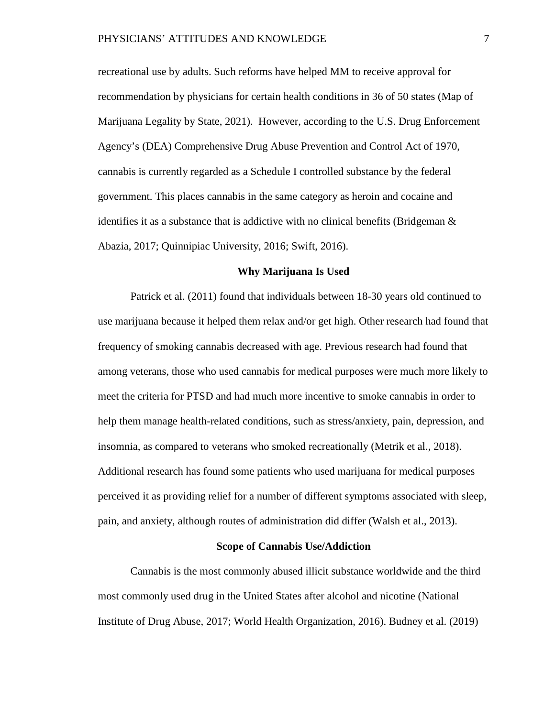recreational use by adults. Such reforms have helped MM to receive approval for recommendation by physicians for certain health conditions in 36 of 50 states (Map of Marijuana Legality by State, 2021). However, according to the U.S. Drug Enforcement Agency's (DEA) Comprehensive Drug Abuse Prevention and Control Act of 1970, cannabis is currently regarded as a Schedule I controlled substance by the federal government. This places cannabis in the same category as heroin and cocaine and identifies it as a substance that is addictive with no clinical benefits (Bridgeman & Abazia, 2017; Quinnipiac University, 2016; Swift, 2016).

#### **Why Marijuana Is Used**

Patrick et al. (2011) found that individuals between 18-30 years old continued to use marijuana because it helped them relax and/or get high. Other research had found that frequency of smoking cannabis decreased with age. Previous research had found that among veterans, those who used cannabis for medical purposes were much more likely to meet the criteria for PTSD and had much more incentive to smoke cannabis in order to help them manage health-related conditions, such as stress/anxiety, pain, depression, and insomnia, as compared to veterans who smoked recreationally (Metrik et al., 2018). Additional research has found some patients who used marijuana for medical purposes perceived it as providing relief for a number of different symptoms associated with sleep, pain, and anxiety, although routes of administration did differ (Walsh et al., 2013).

#### **Scope of Cannabis Use/Addiction**

Cannabis is the most commonly abused illicit substance worldwide and the third most commonly used drug in the United States after alcohol and nicotine (National Institute of Drug Abuse, 2017; World Health Organization, 2016). Budney et al. (2019)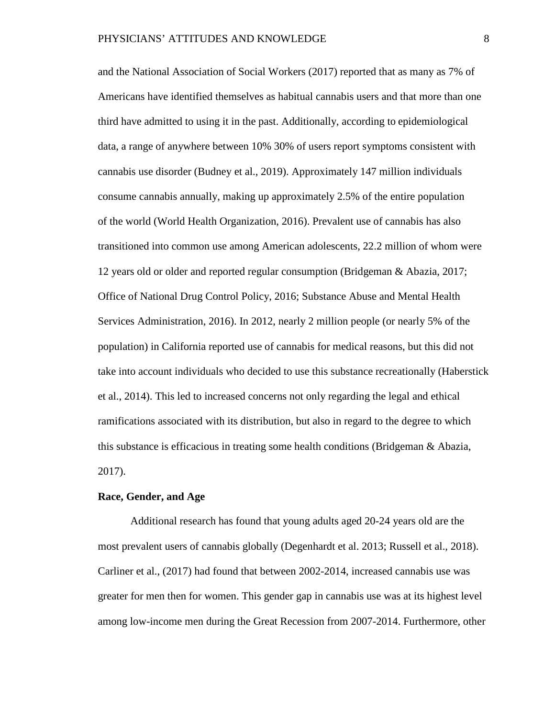and the National Association of Social Workers (2017) reported that as many as 7% of Americans have identified themselves as habitual cannabis users and that more than one third have admitted to using it in the past. Additionally, according to epidemiological data, a range of anywhere between 10% 30% of users report symptoms consistent with cannabis use disorder (Budney et al., 2019). Approximately 147 million individuals consume cannabis annually, making up approximately 2.5% of the entire population of the world (World Health Organization, 2016). Prevalent use of cannabis has also transitioned into common use among American adolescents, 22.2 million of whom were 12 years old or older and reported regular consumption (Bridgeman & Abazia, 2017; Office of National Drug Control Policy, 2016; Substance Abuse and Mental Health Services Administration, 2016). In 2012, nearly 2 million people (or nearly 5% of the population) in California reported use of cannabis for medical reasons, but this did not take into account individuals who decided to use this substance recreationally (Haberstick et al., 2014). This led to increased concerns not only regarding the legal and ethical ramifications associated with its distribution, but also in regard to the degree to which this substance is efficacious in treating some health conditions (Bridgeman & Abazia, 2017).

# **Race, Gender, and Age**

Additional research has found that young adults aged 20-24 years old are the most prevalent users of cannabis globally (Degenhardt et al. 2013; Russell et al., 2018). Carliner et al., (2017) had found that between 2002-2014, increased cannabis use was greater for men then for women. This gender gap in cannabis use was at its highest level among low-income men during the Great Recession from 2007-2014. Furthermore, other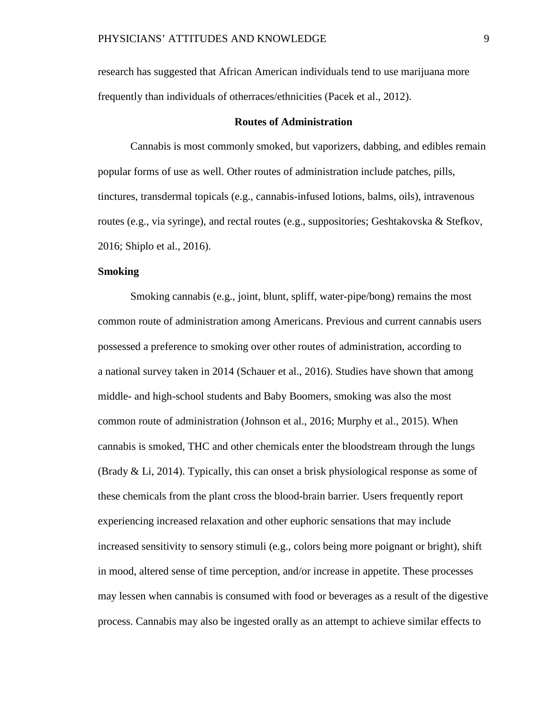research has suggested that African American individuals tend to use marijuana more frequently than individuals of otherraces/ethnicities (Pacek et al., 2012).

#### **Routes of Administration**

Cannabis is most commonly smoked, but vaporizers, dabbing, and edibles remain popular forms of use as well. Other routes of administration include patches, pills, tinctures, transdermal topicals (e.g., cannabis-infused lotions, balms, oils), intravenous routes (e.g., via syringe), and rectal routes (e.g., suppositories; Geshtakovska & Stefkov, 2016; Shiplo et al., 2016).

# **Smoking**

Smoking cannabis (e.g., joint, blunt, spliff, water-pipe/bong) remains the most common route of administration among Americans. Previous and current cannabis users possessed a preference to smoking over other routes of administration, according to a national survey taken in 2014 (Schauer et al., 2016). Studies have shown that among middle- and high-school students and Baby Boomers, smoking was also the most common route of administration (Johnson et al., 2016; Murphy et al., 2015). When cannabis is smoked, THC and other chemicals enter the bloodstream through the lungs (Brady & Li, 2014). Typically, this can onset a brisk physiological response as some of these chemicals from the plant cross the blood-brain barrier. Users frequently report experiencing increased relaxation and other euphoric sensations that may include increased sensitivity to sensory stimuli (e.g., colors being more poignant or bright), shift in mood, altered sense of time perception, and/or increase in appetite. These processes may lessen when cannabis is consumed with food or beverages as a result of the digestive process. Cannabis may also be ingested orally as an attempt to achieve similar effects to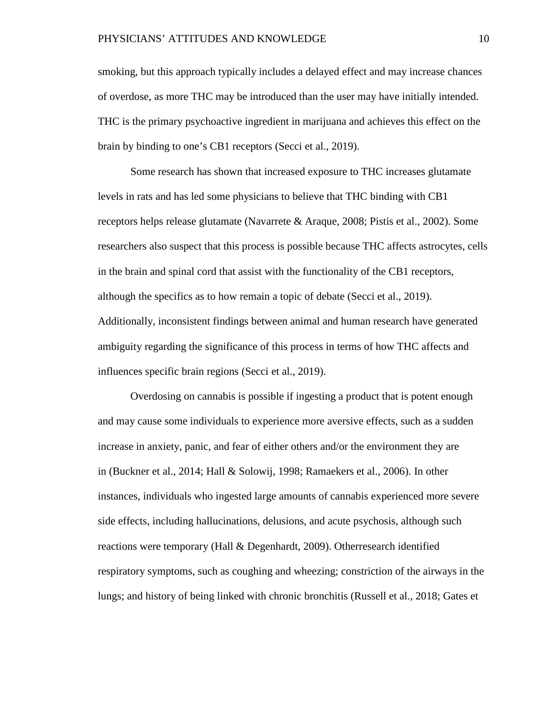smoking, but this approach typically includes a delayed effect and may increase chances of overdose, as more THC may be introduced than the user may have initially intended. THC is the primary psychoactive ingredient in marijuana and achieves this effect on the brain by binding to one's CB1 receptors (Secci et al., 2019).

Some research has shown that increased exposure to THC increases glutamate levels in rats and has led some physicians to believe that THC binding with CB1 receptors helps release glutamate (Navarrete & Araque, 2008; Pistis et al., 2002). Some researchers also suspect that this process is possible because THC affects astrocytes, cells in the brain and spinal cord that assist with the functionality of the CB1 receptors, although the specifics as to how remain a topic of debate (Secci et al., 2019). Additionally, inconsistent findings between animal and human research have generated ambiguity regarding the significance of this process in terms of how THC affects and influences specific brain regions (Secci et al., 2019).

Overdosing on cannabis is possible if ingesting a product that is potent enough and may cause some individuals to experience more aversive effects, such as a sudden increase in anxiety, panic, and fear of either others and/or the environment they are in (Buckner et al., 2014; Hall & Solowij, 1998; Ramaekers et al., 2006). In other instances, individuals who ingested large amounts of cannabis experienced more severe side effects, including hallucinations, delusions, and acute psychosis, although such reactions were temporary (Hall & Degenhardt, 2009). Otherresearch identified respiratory symptoms, such as coughing and wheezing; constriction of the airways in the lungs; and history of being linked with chronic bronchitis (Russell et al., 2018; Gates et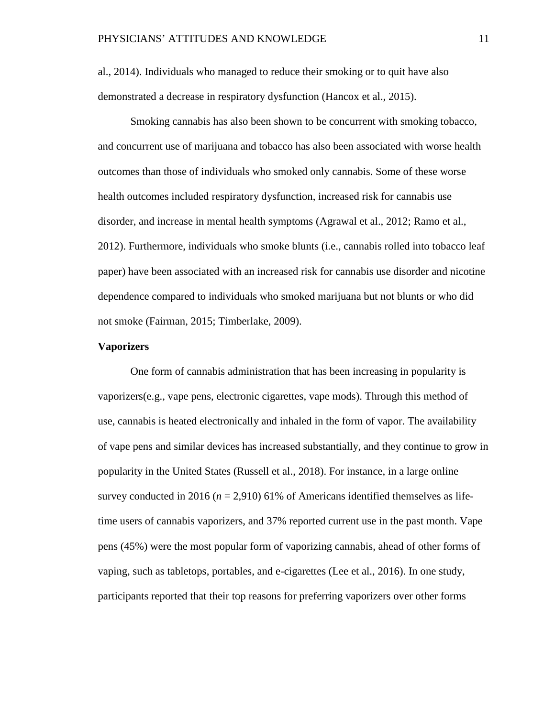al., 2014). Individuals who managed to reduce their smoking or to quit have also demonstrated a decrease in respiratory dysfunction (Hancox et al., 2015).

Smoking cannabis has also been shown to be concurrent with smoking tobacco, and concurrent use of marijuana and tobacco has also been associated with worse health outcomes than those of individuals who smoked only cannabis. Some of these worse health outcomes included respiratory dysfunction, increased risk for cannabis use disorder, and increase in mental health symptoms (Agrawal et al., 2012; Ramo et al., 2012). Furthermore, individuals who smoke blunts (i.e., cannabis rolled into tobacco leaf paper) have been associated with an increased risk for cannabis use disorder and nicotine dependence compared to individuals who smoked marijuana but not blunts or who did not smoke (Fairman, 2015; Timberlake, 2009).

#### **Vaporizers**

One form of cannabis administration that has been increasing in popularity is vaporizers(e.g., vape pens, electronic cigarettes, vape mods). Through this method of use, cannabis is heated electronically and inhaled in the form of vapor. The availability of vape pens and similar devices has increased substantially, and they continue to grow in popularity in the United States (Russell et al., 2018). For instance, in a large online survey conducted in 2016 ( $n = 2,910$ ) 61% of Americans identified themselves as lifetime users of cannabis vaporizers, and 37% reported current use in the past month. Vape pens (45%) were the most popular form of vaporizing cannabis, ahead of other forms of vaping, such as tabletops, portables, and e-cigarettes (Lee et al., 2016). In one study, participants reported that their top reasons for preferring vaporizers over other forms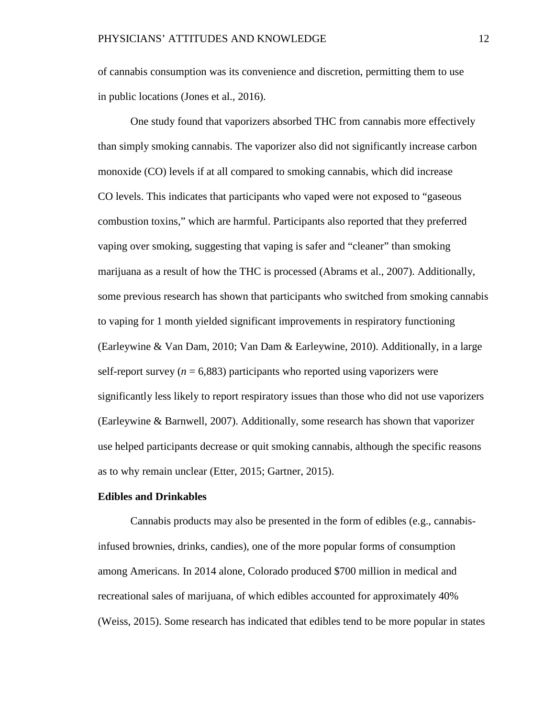of cannabis consumption was its convenience and discretion, permitting them to use in public locations (Jones et al., 2016).

One study found that vaporizers absorbed THC from cannabis more effectively than simply smoking cannabis. The vaporizer also did not significantly increase carbon monoxide (CO) levels if at all compared to smoking cannabis, which did increase CO levels. This indicates that participants who vaped were not exposed to "gaseous combustion toxins," which are harmful. Participants also reported that they preferred vaping over smoking, suggesting that vaping is safer and "cleaner" than smoking marijuana as a result of how the THC is processed (Abrams et al., 2007). Additionally, some previous research has shown that participants who switched from smoking cannabis to vaping for 1 month yielded significant improvements in respiratory functioning (Earleywine & Van Dam, 2010; Van Dam & Earleywine, 2010). Additionally, in a large self-report survey ( $n = 6,883$ ) participants who reported using vaporizers were significantly less likely to report respiratory issues than those who did not use vaporizers (Earleywine & Barnwell, 2007). Additionally, some research has shown that vaporizer use helped participants decrease or quit smoking cannabis, although the specific reasons as to why remain unclear (Etter, 2015; Gartner, 2015).

#### **Edibles and Drinkables**

Cannabis products may also be presented in the form of edibles (e.g., cannabisinfused brownies, drinks, candies), one of the more popular forms of consumption among Americans. In 2014 alone, Colorado produced \$700 million in medical and recreational sales of marijuana, of which edibles accounted for approximately 40% (Weiss, 2015). Some research has indicated that edibles tend to be more popular in states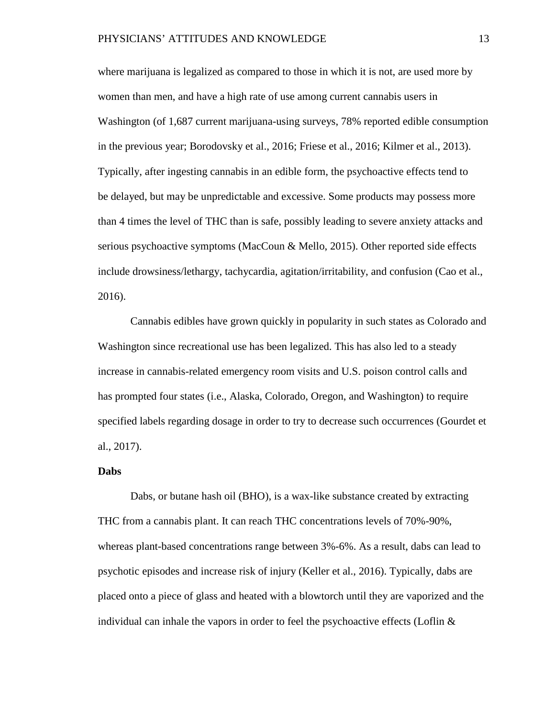where marijuana is legalized as compared to those in which it is not, are used more by women than men, and have a high rate of use among current cannabis users in Washington (of 1,687 current marijuana-using surveys, 78% reported edible consumption in the previous year; Borodovsky et al., 2016; Friese et al., 2016; Kilmer et al., 2013). Typically, after ingesting cannabis in an edible form, the psychoactive effects tend to be delayed, but may be unpredictable and excessive. Some products may possess more than 4 times the level of THC than is safe, possibly leading to severe anxiety attacks and serious psychoactive symptoms (MacCoun & Mello, 2015). Other reported side effects include drowsiness/lethargy, tachycardia, agitation/irritability, and confusion (Cao et al., 2016).

Cannabis edibles have grown quickly in popularity in such states as Colorado and Washington since recreational use has been legalized. This has also led to a steady increase in cannabis-related emergency room visits and U.S. poison control calls and has prompted four states (i.e., Alaska, Colorado, Oregon, and Washington) to require specified labels regarding dosage in order to try to decrease such occurrences (Gourdet et al., 2017).

#### **Dabs**

Dabs, or butane hash oil (BHO), is a wax-like substance created by extracting THC from a cannabis plant. It can reach THC concentrations levels of 70%-90%, whereas plant-based concentrations range between 3%-6%. As a result, dabs can lead to psychotic episodes and increase risk of injury (Keller et al., 2016). Typically, dabs are placed onto a piece of glass and heated with a blowtorch until they are vaporized and the individual can inhale the vapors in order to feel the psychoactive effects (Loflin  $\&$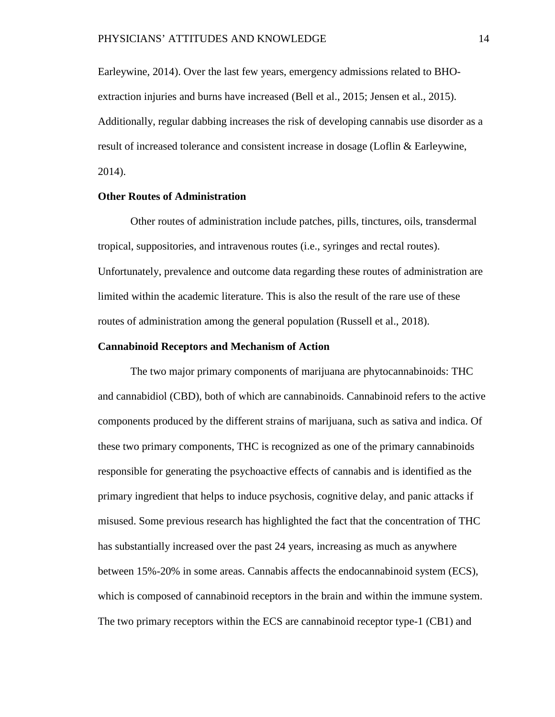Earleywine, 2014). Over the last few years, emergency admissions related to BHOextraction injuries and burns have increased (Bell et al., 2015; Jensen et al., 2015). Additionally, regular dabbing increases the risk of developing cannabis use disorder as a result of increased tolerance and consistent increase in dosage (Loflin & Earleywine, 2014).

# **Other Routes of Administration**

Other routes of administration include patches, pills, tinctures, oils, transdermal tropical, suppositories, and intravenous routes (i.e., syringes and rectal routes). Unfortunately, prevalence and outcome data regarding these routes of administration are limited within the academic literature. This is also the result of the rare use of these routes of administration among the general population (Russell et al., 2018).

## **Cannabinoid Receptors and Mechanism of Action**

The two major primary components of marijuana are phytocannabinoids: THC and cannabidiol (CBD), both of which are cannabinoids. Cannabinoid refers to the active components produced by the different strains of marijuana, such as sativa and indica. Of these two primary components, THC is recognized as one of the primary cannabinoids responsible for generating the psychoactive effects of cannabis and is identified as the primary ingredient that helps to induce psychosis, cognitive delay, and panic attacks if misused. Some previous research has highlighted the fact that the concentration of THC has substantially increased over the past 24 years, increasing as much as anywhere between 15%-20% in some areas. Cannabis affects the endocannabinoid system (ECS), which is composed of cannabinoid receptors in the brain and within the immune system. The two primary receptors within the ECS are cannabinoid receptor type-1 (CB1) and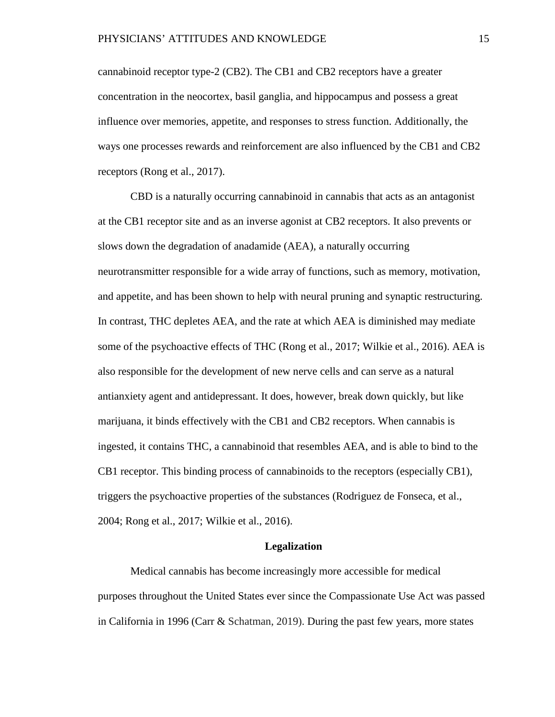cannabinoid receptor type-2 (CB2). The CB1 and CB2 receptors have a greater concentration in the neocortex, basil ganglia, and hippocampus and possess a great influence over memories, appetite, and responses to stress function. Additionally, the ways one processes rewards and reinforcement are also influenced by the CB1 and CB2 receptors (Rong et al., 2017).

CBD is a naturally occurring cannabinoid in cannabis that acts as an antagonist at the CB1 receptor site and as an inverse agonist at CB2 receptors. It also prevents or slows down the degradation of anadamide (AEA), a naturally occurring neurotransmitter responsible for a wide array of functions, such as memory, motivation, and appetite, and has been shown to help with neural pruning and synaptic restructuring. In contrast, THC depletes AEA, and the rate at which AEA is diminished may mediate some of the psychoactive effects of THC (Rong et al., 2017; Wilkie et al., 2016). AEA is also responsible for the development of new nerve cells and can serve as a natural antianxiety agent and antidepressant. It does, however, break down quickly, but like marijuana, it binds effectively with the CB1 and CB2 receptors. When cannabis is ingested, it contains THC, a cannabinoid that resembles AEA, and is able to bind to the CB1 receptor. This binding process of cannabinoids to the receptors (especially CB1), triggers the psychoactive properties of the substances (Rodriguez de Fonseca, et al., 2004; Rong et al., 2017; Wilkie et al., 2016).

#### **Legalization**

Medical cannabis has become increasingly more accessible for medical purposes throughout the United States ever since the Compassionate Use Act was passed in California in 1996 (Carr & Schatman, 2019). During the past few years, more states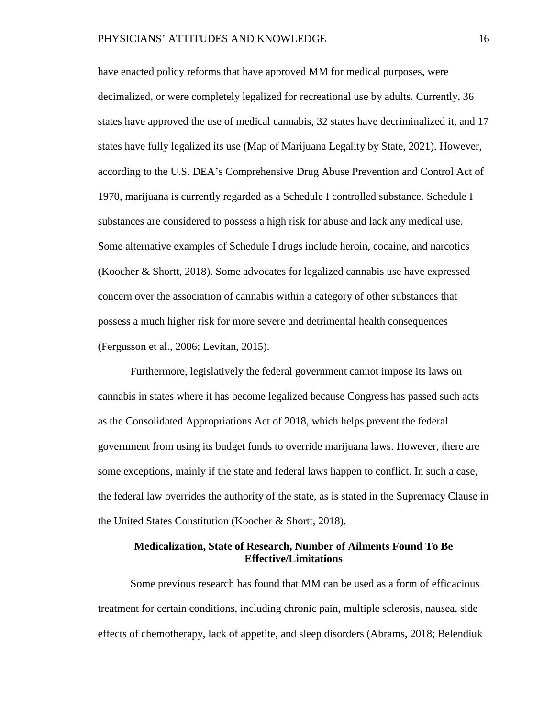have enacted policy reforms that have approved MM for medical purposes, were decimalized, or were completely legalized for recreational use by adults. Currently, 36 states have approved the use of medical cannabis, 32 states have decriminalized it, and 17 states have fully legalized its use (Map of Marijuana Legality by State, 2021). However, according to the U.S. DEA's Comprehensive Drug Abuse Prevention and Control Act of 1970, marijuana is currently regarded as a Schedule I controlled substance. Schedule I substances are considered to possess a high risk for abuse and lack any medical use. Some alternative examples of Schedule I drugs include heroin, cocaine, and narcotics (Koocher & Shortt, 2018). Some advocates for legalized cannabis use have expressed concern over the association of cannabis within a category of other substances that possess a much higher risk for more severe and detrimental health consequences (Fergusson et al., 2006; Levitan, 2015).

Furthermore, legislatively the federal government cannot impose its laws on cannabis in states where it has become legalized because Congress has passed such acts as the Consolidated Appropriations Act of 2018, which helps prevent the federal government from using its budget funds to override marijuana laws. However, there are some exceptions, mainly if the state and federal laws happen to conflict. In such a case, the federal law overrides the authority of the state, as is stated in the Supremacy Clause in the United States Constitution (Koocher & Shortt, 2018).

# **Medicalization, State of Research, Number of Ailments Found To Be Effective/Limitations**

Some previous research has found that MM can be used as a form of efficacious treatment for certain conditions, including chronic pain, multiple sclerosis, nausea, side effects of chemotherapy, lack of appetite, and sleep disorders (Abrams, 2018; Belendiuk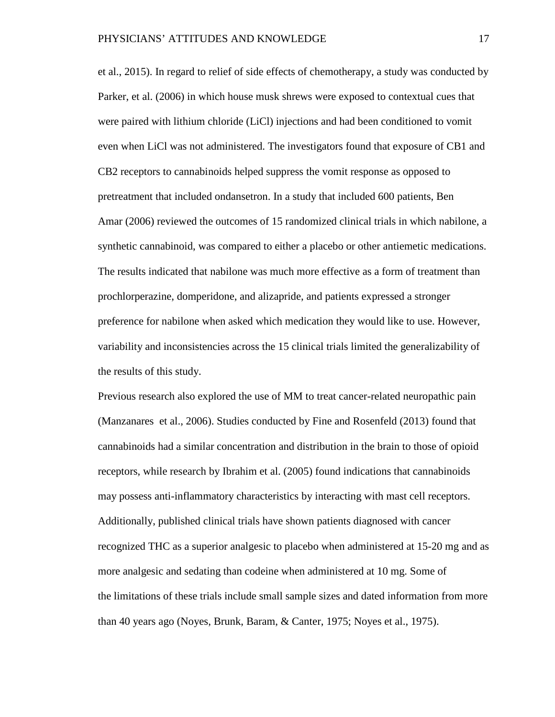et al., 2015). In regard to relief of side effects of chemotherapy, a study was conducted by Parker, et al. (2006) in which house musk shrews were exposed to contextual cues that were paired with lithium chloride (LiCl) injections and had been conditioned to vomit even when LiCl was not administered. The investigators found that exposure of CB1 and CB2 receptors to cannabinoids helped suppress the vomit response as opposed to pretreatment that included ondansetron. In a study that included 600 patients, Ben Amar (2006) reviewed the outcomes of 15 randomized clinical trials in which nabilone, a synthetic cannabinoid, was compared to either a placebo or other antiemetic medications. The results indicated that nabilone was much more effective as a form of treatment than prochlorperazine, domperidone, and alizapride, and patients expressed a stronger preference for nabilone when asked which medication they would like to use. However, variability and inconsistencies across the 15 clinical trials limited the generalizability of the results of this study.

Previous research also explored the use of MM to treat cancer-related neuropathic pain (Manzanares et al., 2006). Studies conducted by Fine and Rosenfeld (2013) found that cannabinoids had a similar concentration and distribution in the brain to those of opioid receptors, while research by Ibrahim et al. (2005) found indications that cannabinoids may possess anti-inflammatory characteristics by interacting with mast cell receptors. Additionally, published clinical trials have shown patients diagnosed with cancer recognized THC as a superior analgesic to placebo when administered at 15-20 mg and as more analgesic and sedating than codeine when administered at 10 mg. Some of the limitations of these trials include small sample sizes and dated information from more than 40 years ago (Noyes, Brunk, Baram, & Canter, 1975; Noyes et al., 1975).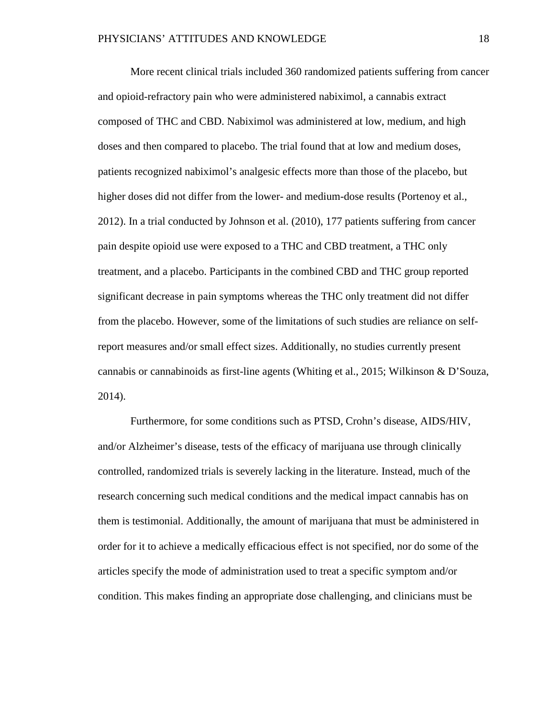More recent clinical trials included 360 randomized patients suffering from cancer and opioid-refractory pain who were administered nabiximol, a cannabis extract composed of THC and CBD. Nabiximol was administered at low, medium, and high doses and then compared to placebo. The trial found that at low and medium doses, patients recognized nabiximol's analgesic effects more than those of the placebo, but higher doses did not differ from the lower- and medium-dose results (Portenoy et al., 2012). In a trial conducted by Johnson et al. (2010), 177 patients suffering from cancer pain despite opioid use were exposed to a THC and CBD treatment, a THC only treatment, and a placebo. Participants in the combined CBD and THC group reported significant decrease in pain symptoms whereas the THC only treatment did not differ from the placebo. However, some of the limitations of such studies are reliance on selfreport measures and/or small effect sizes. Additionally, no studies currently present cannabis or cannabinoids as first-line agents (Whiting et al., 2015; Wilkinson & D'Souza, 2014).

Furthermore, for some conditions such as PTSD, Crohn's disease, AIDS/HIV, and/or Alzheimer's disease, tests of the efficacy of marijuana use through clinically controlled, randomized trials is severely lacking in the literature. Instead, much of the research concerning such medical conditions and the medical impact cannabis has on them is testimonial. Additionally, the amount of marijuana that must be administered in order for it to achieve a medically efficacious effect is not specified, nor do some of the articles specify the mode of administration used to treat a specific symptom and/or condition. This makes finding an appropriate dose challenging, and clinicians must be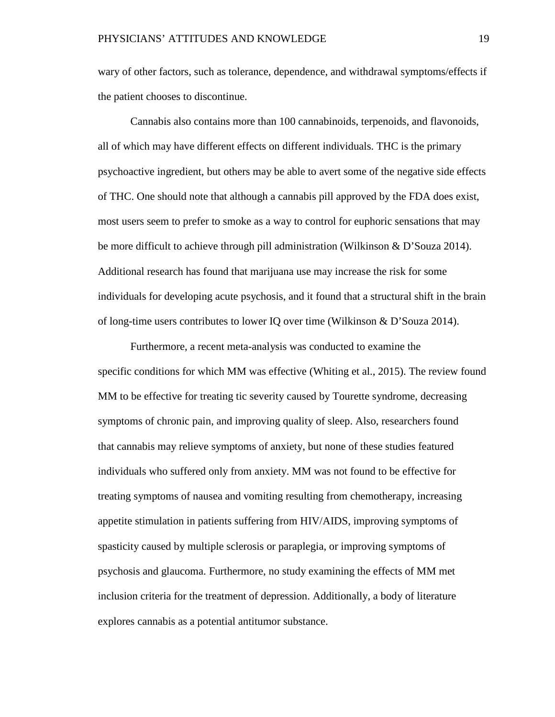wary of other factors, such as tolerance, dependence, and withdrawal symptoms/effects if the patient chooses to discontinue.

Cannabis also contains more than 100 cannabinoids, terpenoids, and flavonoids, all of which may have different effects on different individuals. THC is the primary psychoactive ingredient, but others may be able to avert some of the negative side effects of THC. One should note that although a cannabis pill approved by the FDA does exist, most users seem to prefer to smoke as a way to control for euphoric sensations that may be more difficult to achieve through pill administration (Wilkinson & D'Souza 2014). Additional research has found that marijuana use may increase the risk for some individuals for developing acute psychosis, and it found that a structural shift in the brain of long-time users contributes to lower IQ over time (Wilkinson & D'Souza 2014).

Furthermore, a recent meta-analysis was conducted to examine the specific conditions for which MM was effective (Whiting et al., 2015). The review found MM to be effective for treating tic severity caused by Tourette syndrome, decreasing symptoms of chronic pain, and improving quality of sleep. Also, researchers found that cannabis may relieve symptoms of anxiety, but none of these studies featured individuals who suffered only from anxiety. MM was not found to be effective for treating symptoms of nausea and vomiting resulting from chemotherapy, increasing appetite stimulation in patients suffering from HIV/AIDS, improving symptoms of spasticity caused by multiple sclerosis or paraplegia, or improving symptoms of psychosis and glaucoma. Furthermore, no study examining the effects of MM met inclusion criteria for the treatment of depression. Additionally, a body of literature explores cannabis as a potential antitumor substance.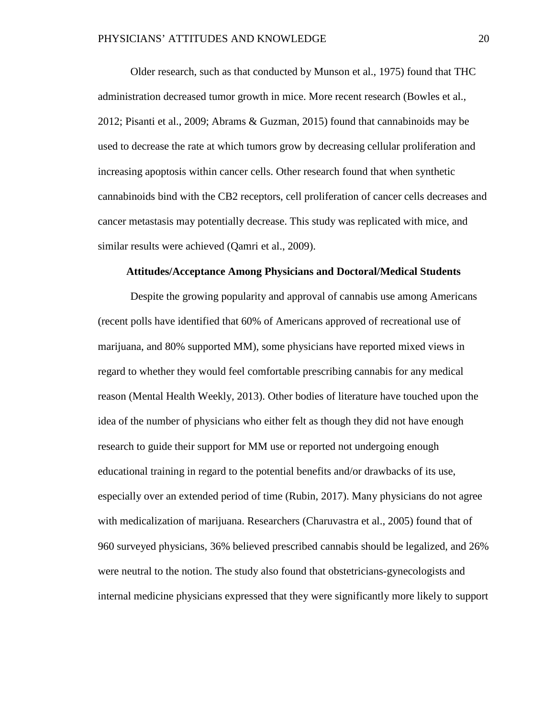Older research, such as that conducted by Munson et al., 1975) found that THC administration decreased tumor growth in mice. More recent research (Bowles et al., 2012; Pisanti et al., 2009; Abrams & Guzman, 2015) found that cannabinoids may be used to decrease the rate at which tumors grow by decreasing cellular proliferation and increasing apoptosis within cancer cells. Other research found that when synthetic cannabinoids bind with the CB2 receptors, cell proliferation of cancer cells decreases and cancer metastasis may potentially decrease. This study was replicated with mice, and similar results were achieved (Qamri et al., 2009).

#### **Attitudes/Acceptance Among Physicians and Doctoral/Medical Students**

Despite the growing popularity and approval of cannabis use among Americans (recent polls have identified that 60% of Americans approved of recreational use of marijuana, and 80% supported MM), some physicians have reported mixed views in regard to whether they would feel comfortable prescribing cannabis for any medical reason (Mental Health Weekly, 2013). Other bodies of literature have touched upon the idea of the number of physicians who either felt as though they did not have enough research to guide their support for MM use or reported not undergoing enough educational training in regard to the potential benefits and/or drawbacks of its use, especially over an extended period of time (Rubin, 2017). Many physicians do not agree with medicalization of marijuana. Researchers (Charuvastra et al., 2005) found that of 960 surveyed physicians, 36% believed prescribed cannabis should be legalized, and 26% were neutral to the notion. The study also found that obstetricians-gynecologists and internal medicine physicians expressed that they were significantly more likely to support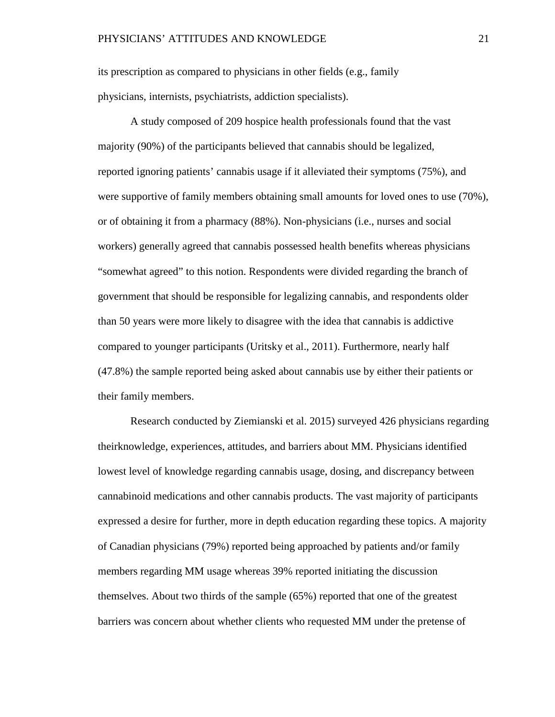its prescription as compared to physicians in other fields (e.g., family physicians, internists, psychiatrists, addiction specialists).

A study composed of 209 hospice health professionals found that the vast majority (90%) of the participants believed that cannabis should be legalized, reported ignoring patients' cannabis usage if it alleviated their symptoms (75%), and were supportive of family members obtaining small amounts for loved ones to use (70%), or of obtaining it from a pharmacy (88%). Non-physicians (i.e., nurses and social workers) generally agreed that cannabis possessed health benefits whereas physicians "somewhat agreed" to this notion. Respondents were divided regarding the branch of government that should be responsible for legalizing cannabis, and respondents older than 50 years were more likely to disagree with the idea that cannabis is addictive compared to younger participants (Uritsky et al., 2011). Furthermore, nearly half (47.8%) the sample reported being asked about cannabis use by either their patients or their family members.

Research conducted by Ziemianski et al. 2015) surveyed 426 physicians regarding theirknowledge, experiences, attitudes, and barriers about MM. Physicians identified lowest level of knowledge regarding cannabis usage, dosing, and discrepancy between cannabinoid medications and other cannabis products. The vast majority of participants expressed a desire for further, more in depth education regarding these topics. A majority of Canadian physicians (79%) reported being approached by patients and/or family members regarding MM usage whereas 39% reported initiating the discussion themselves. About two thirds of the sample (65%) reported that one of the greatest barriers was concern about whether clients who requested MM under the pretense of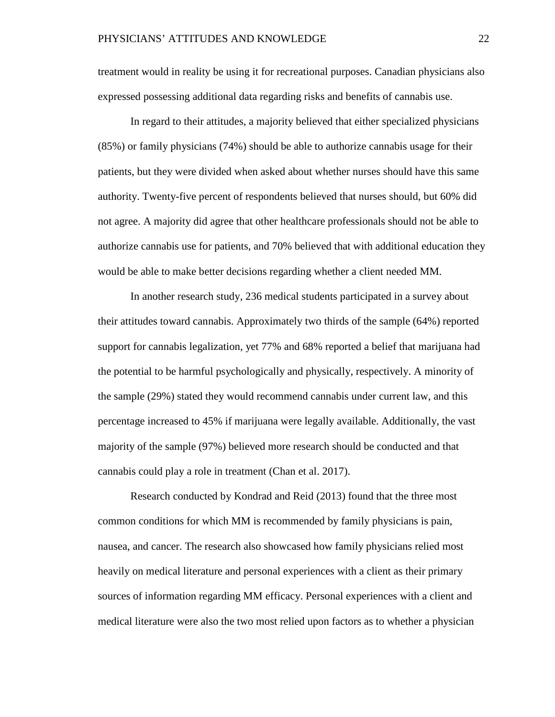treatment would in reality be using it for recreational purposes. Canadian physicians also expressed possessing additional data regarding risks and benefits of cannabis use.

In regard to their attitudes, a majority believed that either specialized physicians (85%) or family physicians (74%) should be able to authorize cannabis usage for their patients, but they were divided when asked about whether nurses should have this same authority. Twenty-five percent of respondents believed that nurses should, but 60% did not agree. A majority did agree that other healthcare professionals should not be able to authorize cannabis use for patients, and 70% believed that with additional education they would be able to make better decisions regarding whether a client needed MM.

In another research study, 236 medical students participated in a survey about their attitudes toward cannabis. Approximately two thirds of the sample (64%) reported support for cannabis legalization, yet 77% and 68% reported a belief that marijuana had the potential to be harmful psychologically and physically, respectively. A minority of the sample (29%) stated they would recommend cannabis under current law, and this percentage increased to 45% if marijuana were legally available. Additionally, the vast majority of the sample (97%) believed more research should be conducted and that cannabis could play a role in treatment (Chan et al. 2017).

Research conducted by Kondrad and Reid (2013) found that the three most common conditions for which MM is recommended by family physicians is pain, nausea, and cancer. The research also showcased how family physicians relied most heavily on medical literature and personal experiences with a client as their primary sources of information regarding MM efficacy. Personal experiences with a client and medical literature were also the two most relied upon factors as to whether a physician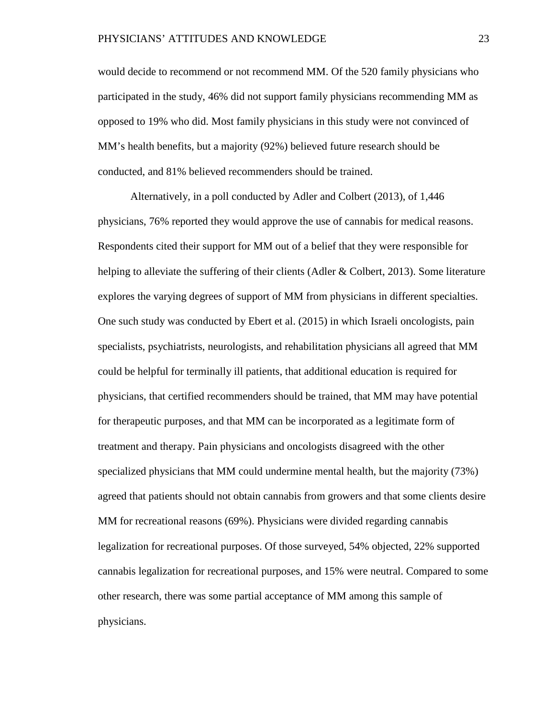would decide to recommend or not recommend MM. Of the 520 family physicians who participated in the study, 46% did not support family physicians recommending MM as opposed to 19% who did. Most family physicians in this study were not convinced of MM's health benefits, but a majority (92%) believed future research should be conducted, and 81% believed recommenders should be trained.

Alternatively, in a poll conducted by Adler and Colbert (2013), of 1,446 physicians, 76% reported they would approve the use of cannabis for medical reasons. Respondents cited their support for MM out of a belief that they were responsible for helping to alleviate the suffering of their clients (Adler & Colbert, 2013). Some literature explores the varying degrees of support of MM from physicians in different specialties. One such study was conducted by Ebert et al. (2015) in which Israeli oncologists, pain specialists, psychiatrists, neurologists, and rehabilitation physicians all agreed that MM could be helpful for terminally ill patients, that additional education is required for physicians, that certified recommenders should be trained, that MM may have potential for therapeutic purposes, and that MM can be incorporated as a legitimate form of treatment and therapy. Pain physicians and oncologists disagreed with the other specialized physicians that MM could undermine mental health, but the majority (73%) agreed that patients should not obtain cannabis from growers and that some clients desire MM for recreational reasons (69%). Physicians were divided regarding cannabis legalization for recreational purposes. Of those surveyed, 54% objected, 22% supported cannabis legalization for recreational purposes, and 15% were neutral. Compared to some other research, there was some partial acceptance of MM among this sample of physicians.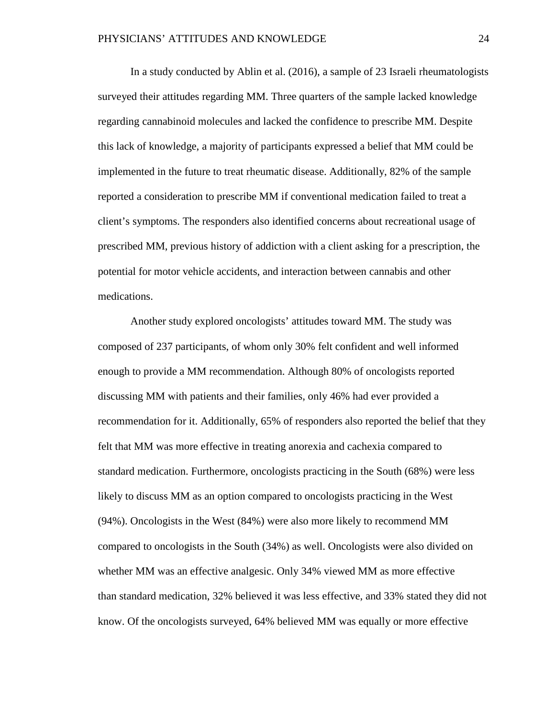In a study conducted by Ablin et al. (2016), a sample of 23 Israeli rheumatologists surveyed their attitudes regarding MM. Three quarters of the sample lacked knowledge regarding cannabinoid molecules and lacked the confidence to prescribe MM. Despite this lack of knowledge, a majority of participants expressed a belief that MM could be implemented in the future to treat rheumatic disease. Additionally, 82% of the sample reported a consideration to prescribe MM if conventional medication failed to treat a client's symptoms. The responders also identified concerns about recreational usage of prescribed MM, previous history of addiction with a client asking for a prescription, the potential for motor vehicle accidents, and interaction between cannabis and other medications.

Another study explored oncologists' attitudes toward MM. The study was composed of 237 participants, of whom only 30% felt confident and well informed enough to provide a MM recommendation. Although 80% of oncologists reported discussing MM with patients and their families, only 46% had ever provided a recommendation for it. Additionally, 65% of responders also reported the belief that they felt that MM was more effective in treating anorexia and cachexia compared to standard medication. Furthermore, oncologists practicing in the South (68%) were less likely to discuss MM as an option compared to oncologists practicing in the West (94%). Oncologists in the West (84%) were also more likely to recommend MM compared to oncologists in the South (34%) as well. Oncologists were also divided on whether MM was an effective analgesic. Only 34% viewed MM as more effective than standard medication, 32% believed it was less effective, and 33% stated they did not know. Of the oncologists surveyed, 64% believed MM was equally or more effective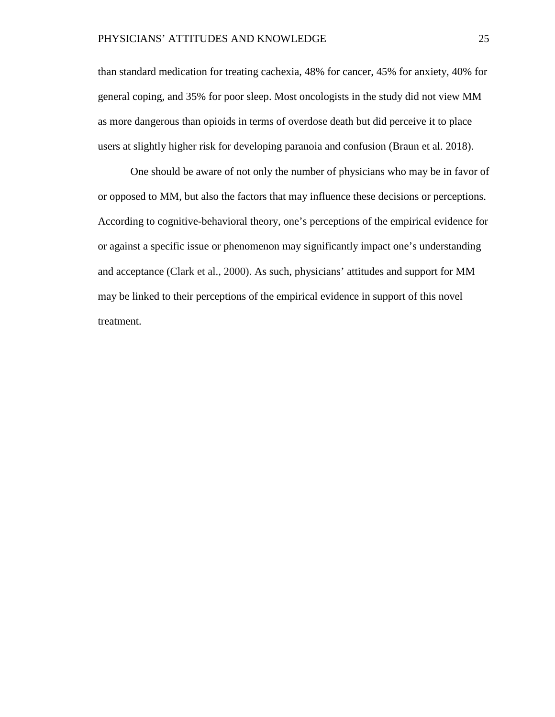than standard medication for treating cachexia, 48% for cancer, 45% for anxiety, 40% for general coping, and 35% for poor sleep. Most oncologists in the study did not view MM as more dangerous than opioids in terms of overdose death but did perceive it to place users at slightly higher risk for developing paranoia and confusion (Braun et al. 2018).

One should be aware of not only the number of physicians who may be in favor of or opposed to MM, but also the factors that may influence these decisions or perceptions. According to cognitive-behavioral theory, one's perceptions of the empirical evidence for or against a specific issue or phenomenon may significantly impact one's understanding and acceptance (Clark et al., 2000). As such, physicians' attitudes and support for MM may be linked to their perceptions of the empirical evidence in support of this novel treatment.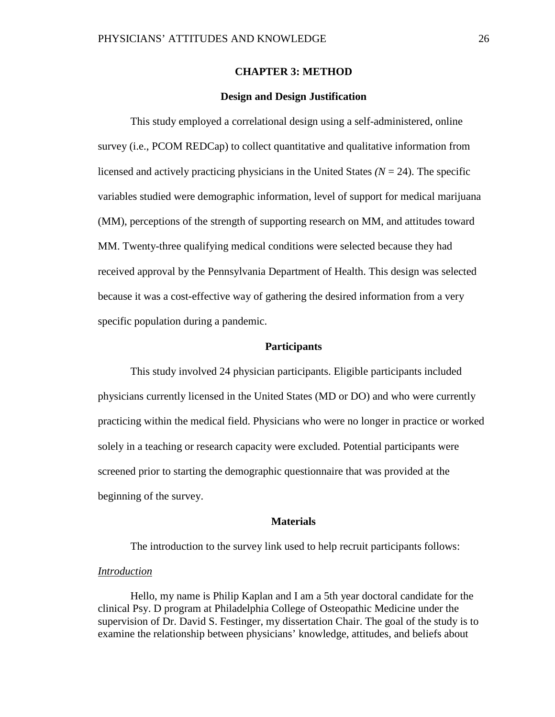#### **CHAPTER 3: METHOD**

#### **Design and Design Justification**

This study employed a correlational design using a self-administered, online survey (i.e., PCOM REDCap) to collect quantitative and qualitative information from licensed and actively practicing physicians in the United States  $(N = 24)$ . The specific variables studied were demographic information, level of support for medical marijuana (MM), perceptions of the strength of supporting research on MM, and attitudes toward MM. Twenty-three qualifying medical conditions were selected because they had received approval by the Pennsylvania Department of Health. This design was selected because it was a cost-effective way of gathering the desired information from a very specific population during a pandemic.

#### **Participants**

This study involved 24 physician participants. Eligible participants included physicians currently licensed in the United States (MD or DO) and who were currently practicing within the medical field. Physicians who were no longer in practice or worked solely in a teaching or research capacity were excluded. Potential participants were screened prior to starting the demographic questionnaire that was provided at the beginning of the survey.

#### **Materials**

The introduction to the survey link used to help recruit participants follows:

#### *Introduction*

Hello, my name is Philip Kaplan and I am a 5th year doctoral candidate for the clinical Psy. D program at Philadelphia College of Osteopathic Medicine under the supervision of Dr. David S. Festinger, my dissertation Chair. The goal of the study is to examine the relationship between physicians' knowledge, attitudes, and beliefs about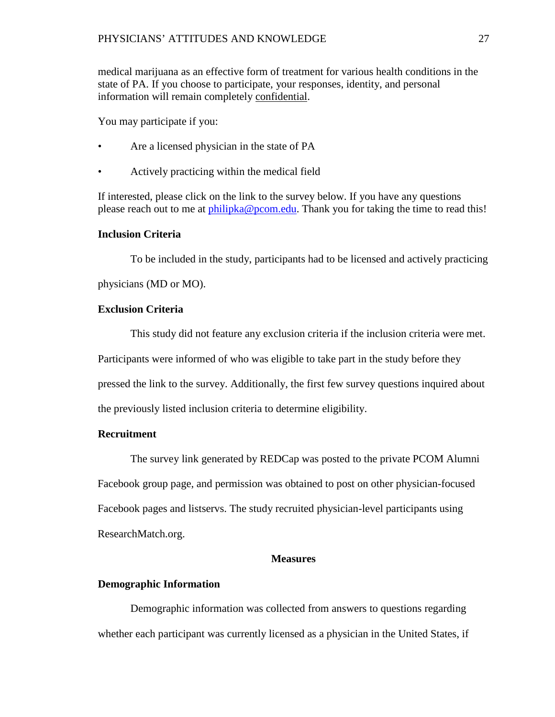medical marijuana as an effective form of treatment for various health conditions in the state of PA. If you choose to participate, your responses, identity, and personal information will remain completely confidential.

You may participate if you:

- Are a licensed physician in the state of PA
- Actively practicing within the medical field

If interested, please click on the link to the survey below. If you have any questions please reach out to me at [philipka@pcom.edu.](mailto:philipka@pcom.edu) Thank you for taking the time to read this!

# **Inclusion Criteria**

To be included in the study, participants had to be licensed and actively practicing

physicians (MD or MO).

# **Exclusion Criteria**

This study did not feature any exclusion criteria if the inclusion criteria were met. Participants were informed of who was eligible to take part in the study before they pressed the link to the survey. Additionally, the first few survey questions inquired about the previously listed inclusion criteria to determine eligibility.

# **Recruitment**

The survey link generated by REDCap was posted to the private PCOM Alumni Facebook group page, and permission was obtained to post on other physician-focused Facebook pages and listservs. The study recruited physician-level participants using ResearchMatch.org.

#### **Measures**

#### **Demographic Information**

Demographic information was collected from answers to questions regarding whether each participant was currently licensed as a physician in the United States, if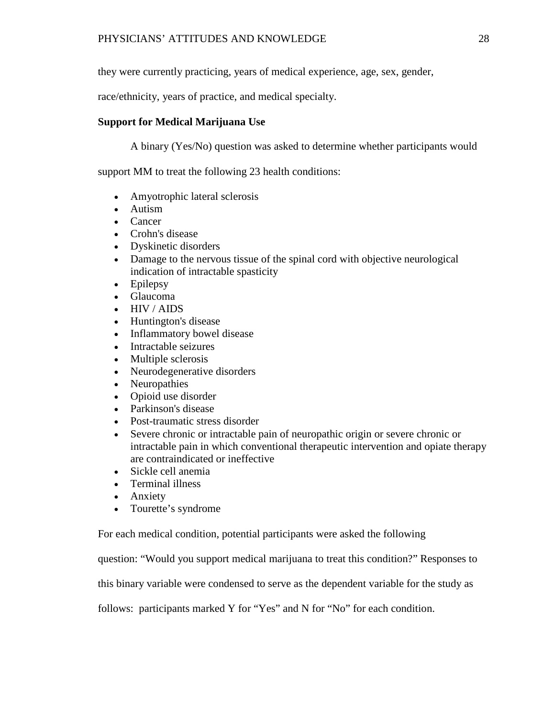they were currently practicing, years of medical experience, age, sex, gender,

race/ethnicity, years of practice, and medical specialty.

# **Support for Medical Marijuana Use**

A binary (Yes/No) question was asked to determine whether participants would

support MM to treat the following 23 health conditions:

- Amyotrophic lateral sclerosis
- Autism
- Cancer
- Crohn's disease
- Dyskinetic disorders
- Damage to the nervous tissue of the spinal cord with objective neurological indication of intractable spasticity
- Epilepsy
- Glaucoma
- HIV / AIDS
- Huntington's disease
- Inflammatory bowel disease
- Intractable seizures
- Multiple sclerosis
- Neurodegenerative disorders
- Neuropathies
- Opioid use disorder
- Parkinson's disease
- Post-traumatic stress disorder
- Severe chronic or intractable pain of neuropathic origin or severe chronic or intractable pain in which conventional therapeutic intervention and opiate therapy are contraindicated or ineffective
- Sickle cell anemia
- Terminal illness
- Anxiety
- Tourette's syndrome

For each medical condition, potential participants were asked the following

question: "Would you support medical marijuana to treat this condition?" Responses to

this binary variable were condensed to serve as the dependent variable for the study as

follows: participants marked Y for "Yes" and N for "No" for each condition.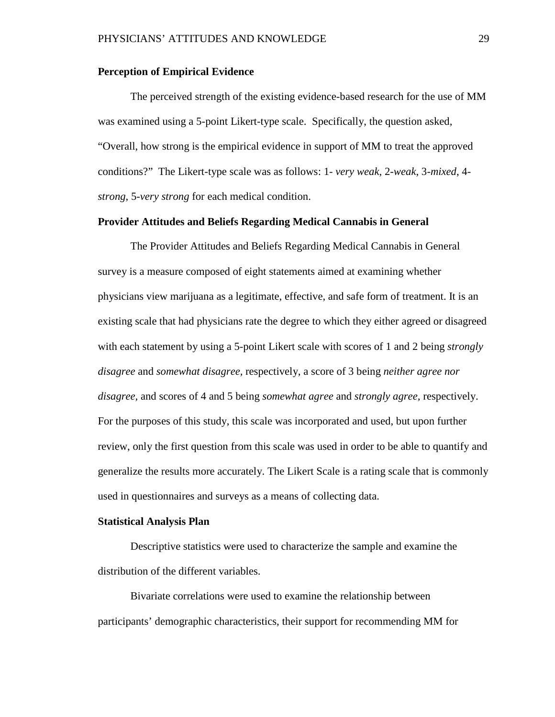# **Perception of Empirical Evidence**

The perceived strength of the existing evidence-based research for the use of MM was examined using a 5-point Likert-type scale. Specifically, the question asked, "Overall, how strong is the empirical evidence in support of MM to treat the approved conditions?" The Likert-type scale was as follows: 1- *very weak*, 2-*weak*, 3-*mixed*, 4 *strong*, 5-*very strong* for each medical condition.

## **Provider Attitudes and Beliefs Regarding Medical Cannabis in General**

The Provider Attitudes and Beliefs Regarding Medical Cannabis in General survey is a measure composed of eight statements aimed at examining whether physicians view marijuana as a legitimate, effective, and safe form of treatment. It is an existing scale that had physicians rate the degree to which they either agreed or disagreed with each statement by using a 5-point Likert scale with scores of 1 and 2 being *strongly disagree* and *somewhat disagree,* respectively, a score of 3 being *neither agree nor disagree,* and scores of 4 and 5 being *somewhat agree* and *strongly agree,* respectively. For the purposes of this study, this scale was incorporated and used, but upon further review, only the first question from this scale was used in order to be able to quantify and generalize the results more accurately. The Likert Scale is a rating scale that is commonly used in questionnaires and surveys as a means of collecting data.

#### **Statistical Analysis Plan**

Descriptive statistics were used to characterize the sample and examine the distribution of the different variables.

Bivariate correlations were used to examine the relationship between participants' demographic characteristics, their support for recommending MM for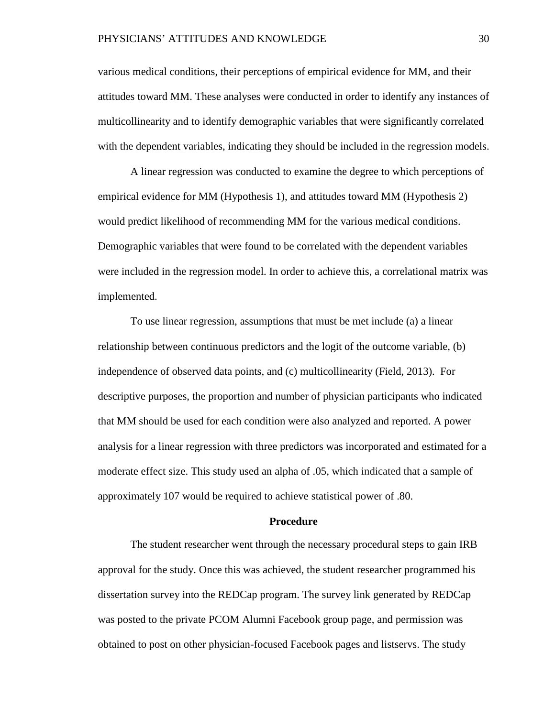various medical conditions, their perceptions of empirical evidence for MM, and their attitudes toward MM. These analyses were conducted in order to identify any instances of multicollinearity and to identify demographic variables that were significantly correlated with the dependent variables, indicating they should be included in the regression models.

A linear regression was conducted to examine the degree to which perceptions of empirical evidence for MM (Hypothesis 1), and attitudes toward MM (Hypothesis 2) would predict likelihood of recommending MM for the various medical conditions. Demographic variables that were found to be correlated with the dependent variables were included in the regression model. In order to achieve this, a correlational matrix was implemented.

To use linear regression, assumptions that must be met include (a) a linear relationship between continuous predictors and the logit of the outcome variable, (b) independence of observed data points, and (c) multicollinearity (Field, 2013). For descriptive purposes, the proportion and number of physician participants who indicated that MM should be used for each condition were also analyzed and reported. A power analysis for a linear regression with three predictors was incorporated and estimated for a moderate effect size. This study used an alpha of .05, which indicated that a sample of approximately 107 would be required to achieve statistical power of .80.

#### **Procedure**

The student researcher went through the necessary procedural steps to gain IRB approval for the study. Once this was achieved, the student researcher programmed his dissertation survey into the REDCap program. The survey link generated by REDCap was posted to the private PCOM Alumni Facebook group page, and permission was obtained to post on other physician-focused Facebook pages and listservs. The study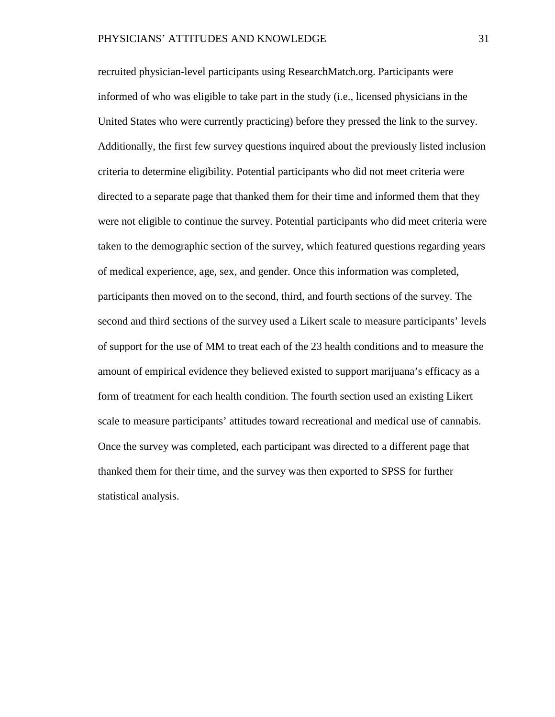recruited physician-level participants using ResearchMatch.org. Participants were informed of who was eligible to take part in the study (i.e., licensed physicians in the United States who were currently practicing) before they pressed the link to the survey. Additionally, the first few survey questions inquired about the previously listed inclusion criteria to determine eligibility. Potential participants who did not meet criteria were directed to a separate page that thanked them for their time and informed them that they were not eligible to continue the survey. Potential participants who did meet criteria were taken to the demographic section of the survey, which featured questions regarding years of medical experience, age, sex, and gender. Once this information was completed, participants then moved on to the second, third, and fourth sections of the survey. The second and third sections of the survey used a Likert scale to measure participants' levels of support for the use of MM to treat each of the 23 health conditions and to measure the amount of empirical evidence they believed existed to support marijuana's efficacy as a form of treatment for each health condition. The fourth section used an existing Likert scale to measure participants' attitudes toward recreational and medical use of cannabis. Once the survey was completed, each participant was directed to a different page that thanked them for their time, and the survey was then exported to SPSS for further statistical analysis.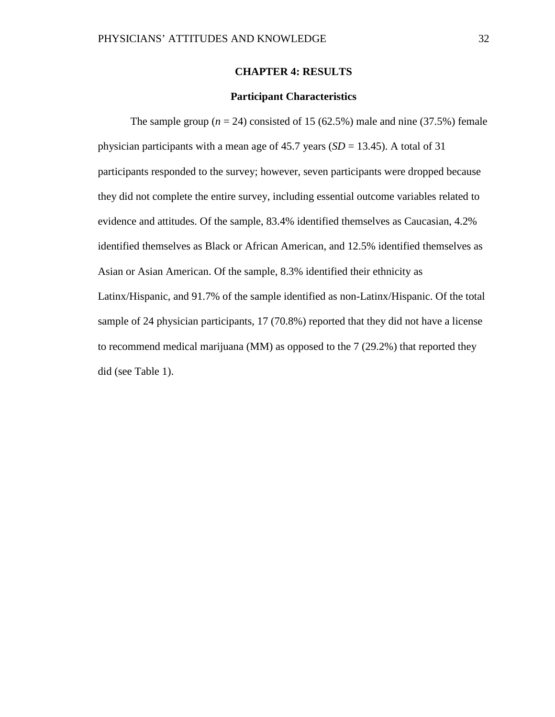#### **CHAPTER 4: RESULTS**

### **Participant Characteristics**

The sample group  $(n = 24)$  consisted of 15 (62.5%) male and nine (37.5%) female physician participants with a mean age of  $45.7$  years (*SD* = 13.45). A total of 31 participants responded to the survey; however, seven participants were dropped because they did not complete the entire survey, including essential outcome variables related to evidence and attitudes. Of the sample, 83.4% identified themselves as Caucasian, 4.2% identified themselves as Black or African American, and 12.5% identified themselves as Asian or Asian American. Of the sample, 8.3% identified their ethnicity as Latinx/Hispanic, and 91.7% of the sample identified as non-Latinx/Hispanic. Of the total sample of 24 physician participants, 17 (70.8%) reported that they did not have a license to recommend medical marijuana (MM) as opposed to the 7 (29.2%) that reported they did (see Table 1).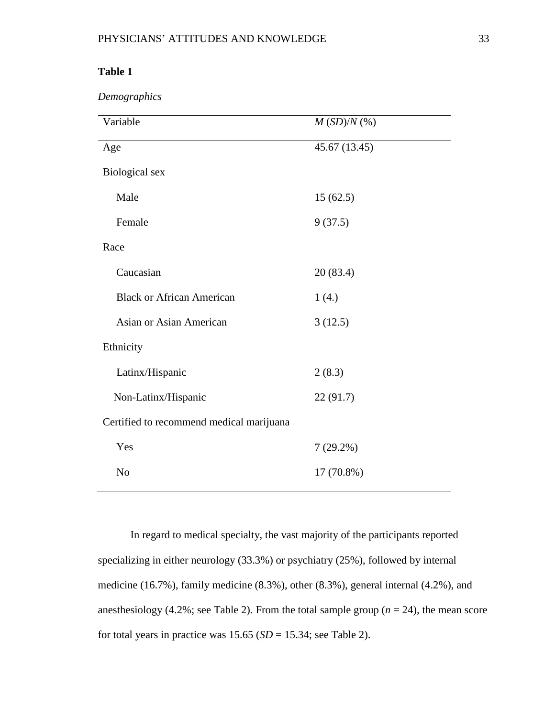*Demographics*

| Variable                                 | $M\left( SD\right) /N\left( \% \right)$ |
|------------------------------------------|-----------------------------------------|
| Age                                      | 45.67 (13.45)                           |
| Biological sex                           |                                         |
| Male                                     | 15(62.5)                                |
| Female                                   | 9(37.5)                                 |
| Race                                     |                                         |
| Caucasian                                | 20(83.4)                                |
| <b>Black or African American</b>         | 1(4.)                                   |
| <b>Asian or Asian American</b>           | 3(12.5)                                 |
| Ethnicity                                |                                         |
| Latinx/Hispanic                          | 2(8.3)                                  |
| Non-Latinx/Hispanic                      | 22(91.7)                                |
| Certified to recommend medical marijuana |                                         |
| Yes                                      | $7(29.2\%)$                             |
| N <sub>o</sub>                           | 17 (70.8%)                              |

In regard to medical specialty, the vast majority of the participants reported specializing in either neurology (33.3%) or psychiatry (25%), followed by internal medicine (16.7%), family medicine (8.3%), other (8.3%), general internal (4.2%), and anesthesiology (4.2%; see Table 2). From the total sample group (*n* = 24), the mean score for total years in practice was  $15.65$  ( $SD = 15.34$ ; see Table 2).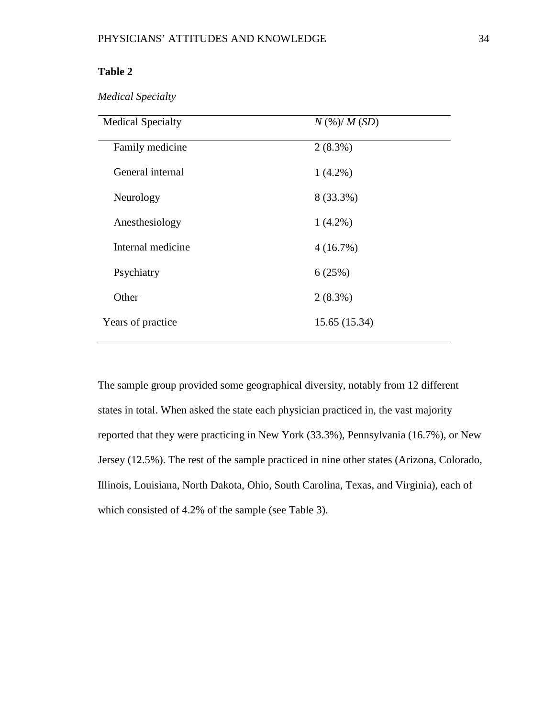*Medical Specialty*

| <b>Medical Specialty</b> | $N$ (%)/ $M$ (SD) |
|--------------------------|-------------------|
| Family medicine          | $2(8.3\%)$        |
| General internal         | $1(4.2\%)$        |
| Neurology                | 8 (33.3%)         |
| Anesthesiology           | $1(4.2\%)$        |
| Internal medicine        | 4(16.7%)          |
| Psychiatry               | 6(25%)            |
| Other                    | $2(8.3\%)$        |
| Years of practice        | 15.65 (15.34)     |

The sample group provided some geographical diversity, notably from 12 different states in total. When asked the state each physician practiced in, the vast majority reported that they were practicing in New York (33.3%), Pennsylvania (16.7%), or New Jersey (12.5%). The rest of the sample practiced in nine other states (Arizona, Colorado, Illinois, Louisiana, North Dakota, Ohio, South Carolina, Texas, and Virginia), each of which consisted of 4.2% of the sample (see Table 3).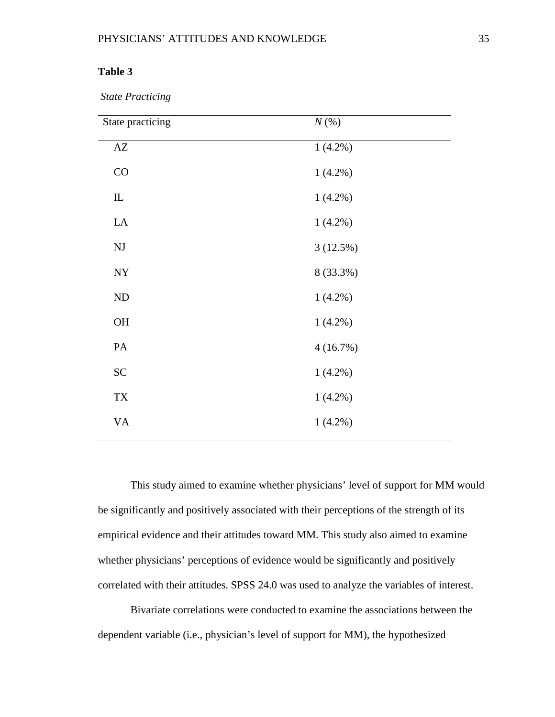*State Practicing*

| State practicing       | $N(\%)$    |  |
|------------------------|------------|--|
| $\mathbf{A}\mathbf{Z}$ | $1(4.2\%)$ |  |
| CO                     | $1(4.2\%)$ |  |
| ${\rm I\!L}$           | $1(4.2\%)$ |  |
| ${\rm LA}$             | $1(4.2\%)$ |  |
| $\mathbf{N}\mathbf{J}$ | 3(12.5%)   |  |
| ${\rm NY}$             | 8 (33.3%)  |  |
| $\rm ND$               | $1(4.2\%)$ |  |
| $\rm OH$               | $1(4.2\%)$ |  |
| $\mathbf{PA}$          | 4(16.7%)   |  |
| SC                     | $1(4.2\%)$ |  |
| ${\rm TX}$             | $1(4.2\%)$ |  |
| <b>VA</b>              | $1(4.2\%)$ |  |
|                        |            |  |

This study aimed to examine whether physicians' level of support for MM would be significantly and positively associated with their perceptions of the strength of its empirical evidence and their attitudes toward MM. This study also aimed to examine whether physicians' perceptions of evidence would be significantly and positively correlated with their attitudes. SPSS 24.0 was used to analyze the variables of interest.

Bivariate correlations were conducted to examine the associations between the dependent variable (i.e., physician's level of support for MM), the hypothesized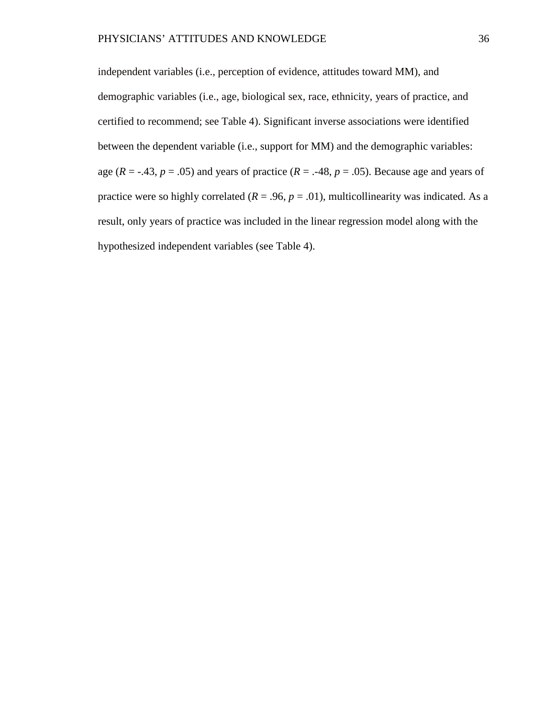independent variables (i.e., perception of evidence, attitudes toward MM), and demographic variables (i.e., age, biological sex, race, ethnicity, years of practice, and certified to recommend; see Table 4). Significant inverse associations were identified between the dependent variable (i.e., support for MM) and the demographic variables: age ( $R = -0.43$ ,  $p = 0.05$ ) and years of practice ( $R = -0.48$ ,  $p = 0.05$ ). Because age and years of practice were so highly correlated ( $R = .96$ ,  $p = .01$ ), multicollinearity was indicated. As a result, only years of practice was included in the linear regression model along with the hypothesized independent variables (see Table 4).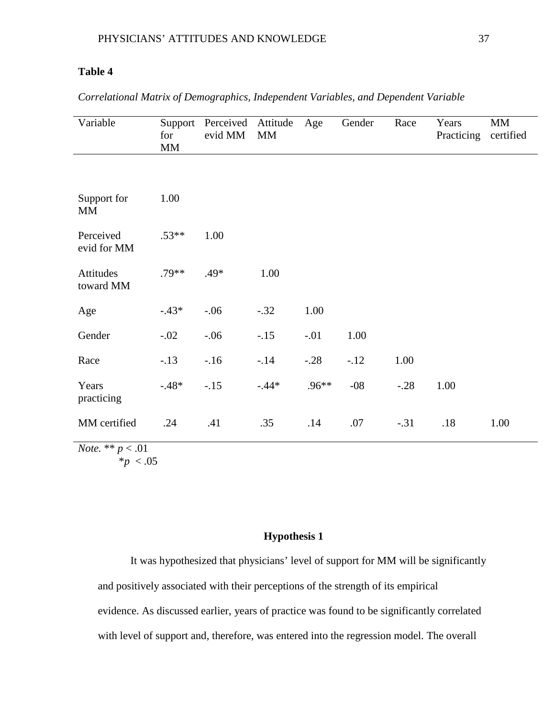| Variable                 | Support<br>for<br>MM | Perceived Attitude<br>evid MM | MM      | Age     | Gender | Race   | Years<br>Practicing | MM<br>certified |
|--------------------------|----------------------|-------------------------------|---------|---------|--------|--------|---------------------|-----------------|
|                          |                      |                               |         |         |        |        |                     |                 |
| Support for<br><b>MM</b> | 1.00                 |                               |         |         |        |        |                     |                 |
| Perceived<br>evid for MM | $.53**$              | 1.00                          |         |         |        |        |                     |                 |
| Attitudes<br>toward MM   | $.79**$              | $.49*$                        | 1.00    |         |        |        |                     |                 |
| Age                      | $-.43*$              | $-.06$                        | $-.32$  | 1.00    |        |        |                     |                 |
| Gender                   | $-.02$               | $-.06$                        | $-.15$  | $-.01$  | 1.00   |        |                     |                 |
| Race                     | $-.13$               | $-16$                         | $-.14$  | $-.28$  | $-12$  | 1.00   |                     |                 |
| Years<br>practicing      | $-.48*$              | $-15$                         | $-.44*$ | $.96**$ | $-08$  | $-.28$ | 1.00                |                 |
| MM certified             | .24                  | .41                           | .35     | .14     | .07    | $-.31$ | .18                 | 1.00            |
| $N_{\alpha}$ ** $n < 01$ |                      |                               |         |         |        |        |                     |                 |

*Correlational Matrix of Demographics, Independent Variables, and Dependent Variable*

*Note.* \*\* *p* < .01  $*_{p}$  < .05

## **Hypothesis 1**

It was hypothesized that physicians' level of support for MM will be significantly and positively associated with their perceptions of the strength of its empirical evidence. As discussed earlier, years of practice was found to be significantly correlated with level of support and, therefore, was entered into the regression model. The overall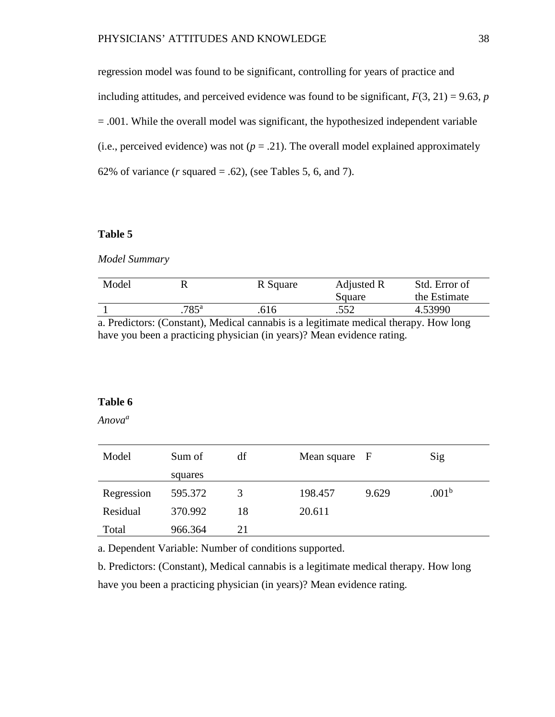regression model was found to be significant, controlling for years of practice and including attitudes, and perceived evidence was found to be significant,  $F(3, 21) = 9.63$ , *p* = .001. While the overall model was significant, the hypothesized independent variable (i.e., perceived evidence) was not  $(p = .21)$ . The overall model explained approximately 62% of variance  $(r \text{ squared} = .62)$ , (see Tables 5, 6, and 7).

### **Table 5**

*Model Summary*

| Model |               | R Square | Adjusted R<br>Square | Std. Error of<br>the Estimate |
|-------|---------------|----------|----------------------|-------------------------------|
|       | $785^{\rm a}$ | .616     | .552                 | 4.53990                       |

a. Predictors: (Constant), Medical cannabis is a legitimate medical therapy. How long have you been a practicing physician (in years)? Mean evidence rating.

### **Table 6**

*Anovaa*

| Model      | Sum of  | df | Mean square F |       | Sig               |
|------------|---------|----|---------------|-------|-------------------|
|            | squares |    |               |       |                   |
| Regression | 595.372 | 3  | 198.457       | 9.629 | .001 <sup>b</sup> |
| Residual   | 370.992 | 18 | 20.611        |       |                   |
| Total      | 966.364 | 21 |               |       |                   |

a. Dependent Variable: Number of conditions supported.

b. Predictors: (Constant), Medical cannabis is a legitimate medical therapy. How long have you been a practicing physician (in years)? Mean evidence rating.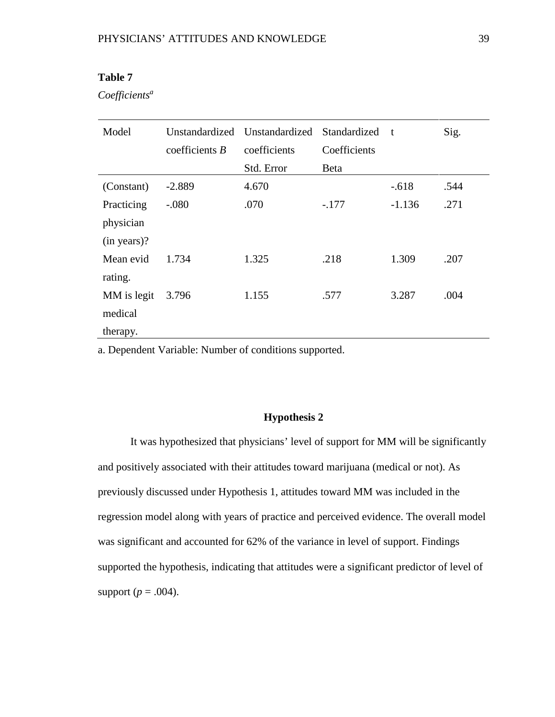*Coefficients<sup>a</sup>*

| Model       | Unstandardized   | Unstandardized | Standardized | t        | Sig. |
|-------------|------------------|----------------|--------------|----------|------|
|             | coefficients $B$ | coefficients   | Coefficients |          |      |
|             |                  | Std. Error     | <b>Beta</b>  |          |      |
| (Constant)  | $-2.889$         | 4.670          |              | $-.618$  | .544 |
| Practicing  | $-.080$          | .070           | $-.177$      | $-1.136$ | .271 |
| physician   |                  |                |              |          |      |
| (in years)? |                  |                |              |          |      |
| Mean evid   | 1.734            | 1.325          | .218         | 1.309    | .207 |
| rating.     |                  |                |              |          |      |
| MM is legit | 3.796            | 1.155          | .577         | 3.287    | .004 |
| medical     |                  |                |              |          |      |
| therapy.    |                  |                |              |          |      |

a. Dependent Variable: Number of conditions supported.

#### **Hypothesis 2**

It was hypothesized that physicians' level of support for MM will be significantly and positively associated with their attitudes toward marijuana (medical or not). As previously discussed under Hypothesis 1, attitudes toward MM was included in the regression model along with years of practice and perceived evidence. The overall model was significant and accounted for 62% of the variance in level of support. Findings supported the hypothesis, indicating that attitudes were a significant predictor of level of support ( $p = .004$ ).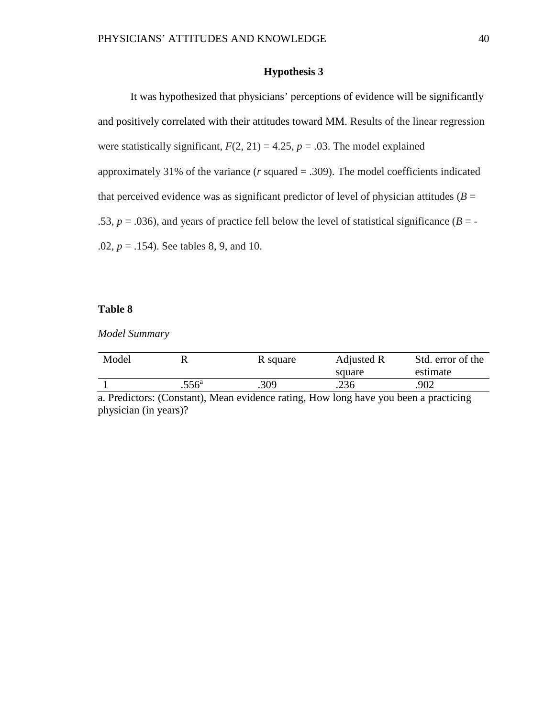### **Hypothesis 3**

It was hypothesized that physicians' perceptions of evidence will be significantly and positively correlated with their attitudes toward MM. Results of the linear regression were statistically significant,  $F(2, 21) = 4.25$ ,  $p = .03$ . The model explained approximately 31% of the variance (*r* squared = .309). The model coefficients indicated that perceived evidence was as significant predictor of level of physician attitudes ( $B =$ .53,  $p = .036$ ), and years of practice fell below the level of statistical significance ( $B = -$ .02, *p* = .154). See tables 8, 9, and 10.

#### **Table 8**

*Model Summary*

| Model |                | R square | Adjusted R | Std. error of the |
|-------|----------------|----------|------------|-------------------|
|       |                |          | square     | estimate          |
|       | $.556^{\circ}$ | .309     | .236       | .902              |

a. Predictors: (Constant), Mean evidence rating, How long have you been a practicing physician (in years)?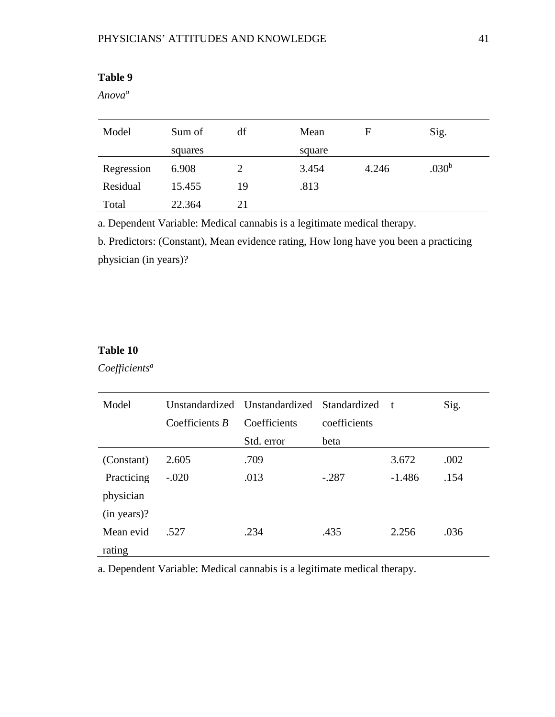*Anovaa*

| Model      | Sum of  | df | Mean   | F     | Sig.              |
|------------|---------|----|--------|-------|-------------------|
|            | squares |    | square |       |                   |
| Regression | 6.908   |    | 3.454  | 4.246 | .030 <sup>b</sup> |
| Residual   | 15.455  | 19 | .813   |       |                   |
| Total      | 22.364  | 21 |        |       |                   |

a. Dependent Variable: Medical cannabis is a legitimate medical therapy.

b. Predictors: (Constant), Mean evidence rating, How long have you been a practicing physician (in years)?

## **Table 10**

*Coefficients<sup>a</sup>*

| Model       |                | Unstandardized Unstandardized Standardized |              | $-t$     | Sig. |
|-------------|----------------|--------------------------------------------|--------------|----------|------|
|             | Coefficients B | Coefficients                               | coefficients |          |      |
|             |                | Std. error                                 | beta         |          |      |
| (Constant)  | 2.605          | .709                                       |              | 3.672    | .002 |
| Practicing  | $-.020$        | .013                                       | $-.287$      | $-1.486$ | .154 |
| physician   |                |                                            |              |          |      |
| (in years)? |                |                                            |              |          |      |
| Mean evid   | .527           | .234                                       | .435         | 2.256    | .036 |
| rating      |                |                                            |              |          |      |

a. Dependent Variable: Medical cannabis is a legitimate medical therapy.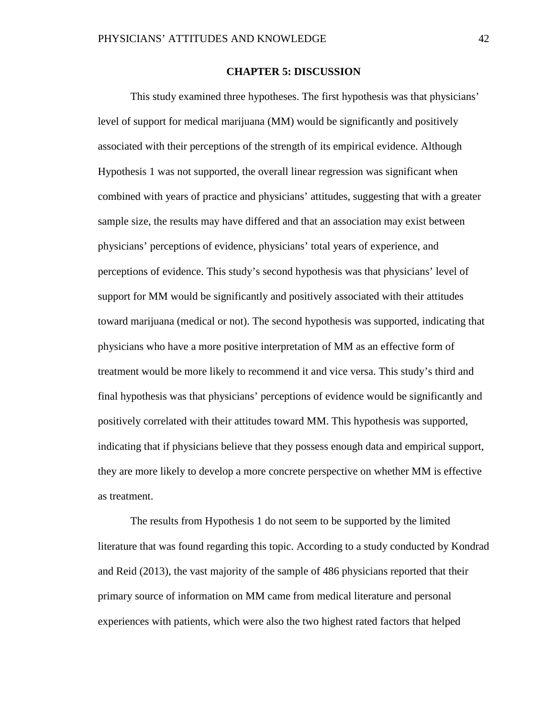#### **CHAPTER 5: DISCUSSION**

This study examined three hypotheses. The first hypothesis was that physicians' level of support for medical marijuana (MM) would be significantly and positively associated with their perceptions of the strength of its empirical evidence. Although Hypothesis 1 was not supported, the overall linear regression was significant when combined with years of practice and physicians' attitudes, suggesting that with a greater sample size, the results may have differed and that an association may exist between physicians' perceptions of evidence, physicians' total years of experience, and perceptions of evidence. This study's second hypothesis was that physicians' level of support for MM would be significantly and positively associated with their attitudes toward marijuana (medical or not). The second hypothesis was supported, indicating that physicians who have a more positive interpretation of MM as an effective form of treatment would be more likely to recommend it and vice versa. This study's third and final hypothesis was that physicians' perceptions of evidence would be significantly and positively correlated with their attitudes toward MM. This hypothesis was supported, indicating that if physicians believe that they possess enough data and empirical support, they are more likely to develop a more concrete perspective on whether MM is effective as treatment.

The results from Hypothesis 1 do not seem to be supported by the limited literature that was found regarding this topic. According to a study conducted by Kondrad and Reid (2013), the vast majority of the sample of 486 physicians reported that their primary source of information on MM came from medical literature and personal experiences with patients, which were also the two highest rated factors that helped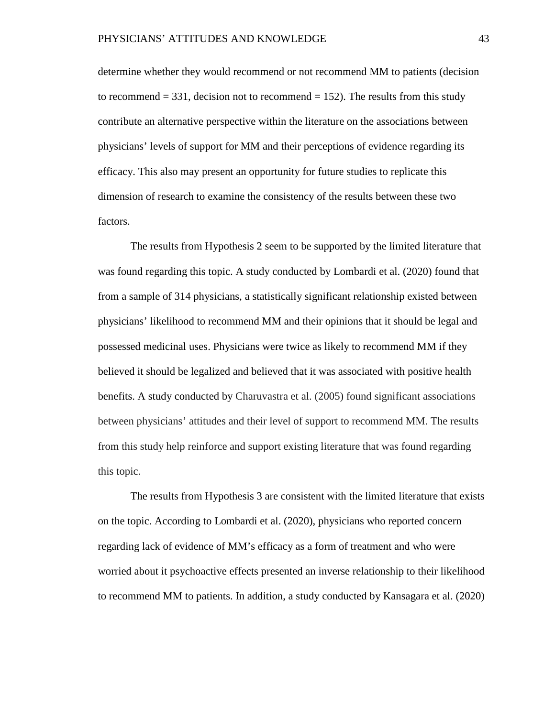determine whether they would recommend or not recommend MM to patients (decision to recommend  $= 331$ , decision not to recommend  $= 152$ ). The results from this study contribute an alternative perspective within the literature on the associations between physicians' levels of support for MM and their perceptions of evidence regarding its efficacy. This also may present an opportunity for future studies to replicate this dimension of research to examine the consistency of the results between these two factors.

The results from Hypothesis 2 seem to be supported by the limited literature that was found regarding this topic. A study conducted by Lombardi et al. (2020) found that from a sample of 314 physicians, a statistically significant relationship existed between physicians' likelihood to recommend MM and their opinions that it should be legal and possessed medicinal uses. Physicians were twice as likely to recommend MM if they believed it should be legalized and believed that it was associated with positive health benefits. A study conducted by Charuvastra et al. (2005) found significant associations between physicians' attitudes and their level of support to recommend MM. The results from this study help reinforce and support existing literature that was found regarding this topic.

The results from Hypothesis 3 are consistent with the limited literature that exists on the topic. According to Lombardi et al. (2020), physicians who reported concern regarding lack of evidence of MM's efficacy as a form of treatment and who were worried about it psychoactive effects presented an inverse relationship to their likelihood to recommend MM to patients. In addition, a study conducted by Kansagara et al. (2020)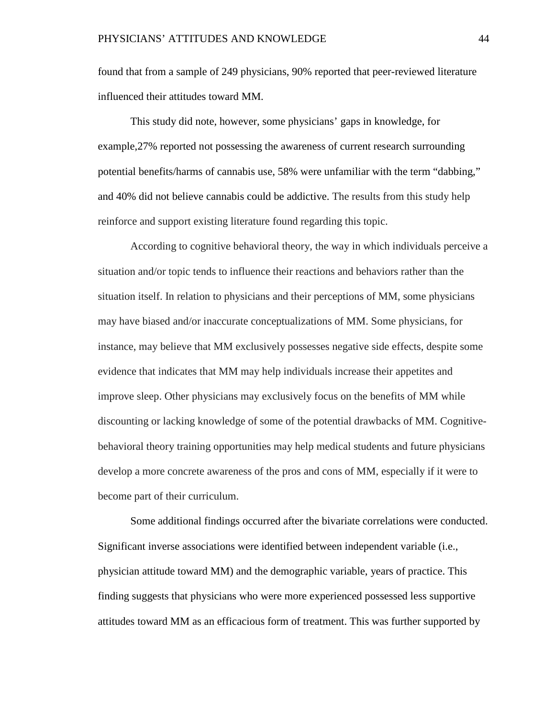found that from a sample of 249 physicians, 90% reported that peer-reviewed literature influenced their attitudes toward MM.

This study did note, however, some physicians' gaps in knowledge, for example,27% reported not possessing the awareness of current research surrounding potential benefits/harms of cannabis use, 58% were unfamiliar with the term "dabbing," and 40% did not believe cannabis could be addictive. The results from this study help reinforce and support existing literature found regarding this topic.

According to cognitive behavioral theory, the way in which individuals perceive a situation and/or topic tends to influence their reactions and behaviors rather than the situation itself. In relation to physicians and their perceptions of MM, some physicians may have biased and/or inaccurate conceptualizations of MM. Some physicians, for instance, may believe that MM exclusively possesses negative side effects, despite some evidence that indicates that MM may help individuals increase their appetites and improve sleep. Other physicians may exclusively focus on the benefits of MM while discounting or lacking knowledge of some of the potential drawbacks of MM. Cognitivebehavioral theory training opportunities may help medical students and future physicians develop a more concrete awareness of the pros and cons of MM, especially if it were to become part of their curriculum.

Some additional findings occurred after the bivariate correlations were conducted. Significant inverse associations were identified between independent variable (i.e., physician attitude toward MM) and the demographic variable, years of practice. This finding suggests that physicians who were more experienced possessed less supportive attitudes toward MM as an efficacious form of treatment. This was further supported by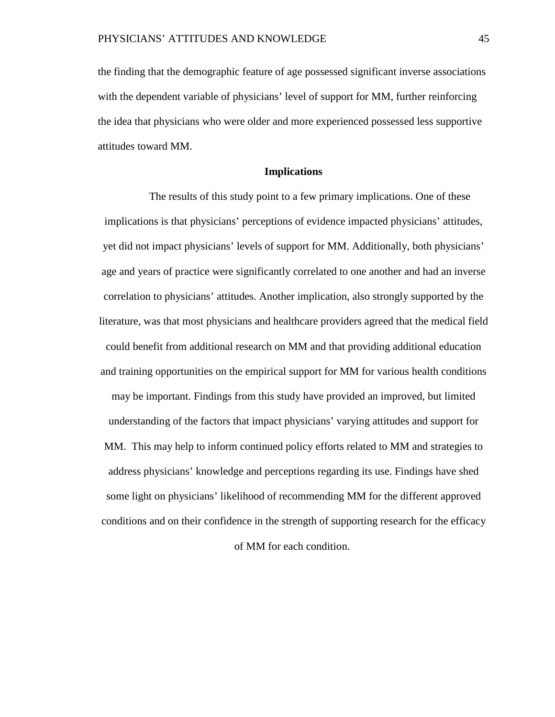the finding that the demographic feature of age possessed significant inverse associations with the dependent variable of physicians' level of support for MM, further reinforcing the idea that physicians who were older and more experienced possessed less supportive attitudes toward MM.

#### **Implications**

The results of this study point to a few primary implications. One of these implications is that physicians' perceptions of evidence impacted physicians' attitudes, yet did not impact physicians' levels of support for MM. Additionally, both physicians' age and years of practice were significantly correlated to one another and had an inverse correlation to physicians' attitudes. Another implication, also strongly supported by the literature, was that most physicians and healthcare providers agreed that the medical field could benefit from additional research on MM and that providing additional education and training opportunities on the empirical support for MM for various health conditions may be important. Findings from this study have provided an improved, but limited understanding of the factors that impact physicians' varying attitudes and support for MM. This may help to inform continued policy efforts related to MM and strategies to address physicians' knowledge and perceptions regarding its use. Findings have shed some light on physicians' likelihood of recommending MM for the different approved conditions and on their confidence in the strength of supporting research for the efficacy

of MM for each condition.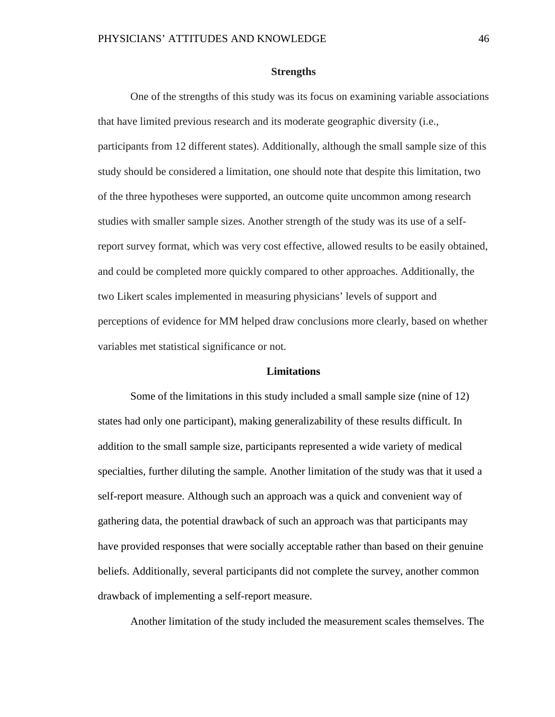#### **Strengths**

One of the strengths of this study was its focus on examining variable associations that have limited previous research and its moderate geographic diversity (i.e., participants from 12 different states). Additionally, although the small sample size of this study should be considered a limitation, one should note that despite this limitation, two of the three hypotheses were supported, an outcome quite uncommon among research studies with smaller sample sizes. Another strength of the study was its use of a selfreport survey format, which was very cost effective, allowed results to be easily obtained, and could be completed more quickly compared to other approaches. Additionally, the two Likert scales implemented in measuring physicians' levels of support and perceptions of evidence for MM helped draw conclusions more clearly, based on whether variables met statistical significance or not.

#### **Limitations**

Some of the limitations in this study included a small sample size (nine of 12) states had only one participant), making generalizability of these results difficult. In addition to the small sample size, participants represented a wide variety of medical specialties, further diluting the sample. Another limitation of the study was that it used a self-report measure. Although such an approach was a quick and convenient way of gathering data, the potential drawback of such an approach was that participants may have provided responses that were socially acceptable rather than based on their genuine beliefs. Additionally, several participants did not complete the survey, another common drawback of implementing a self-report measure.

Another limitation of the study included the measurement scales themselves. The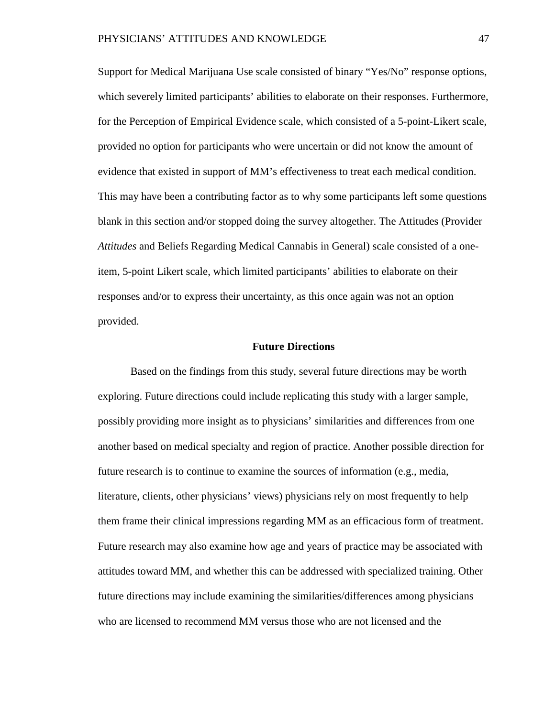Support for Medical Marijuana Use scale consisted of binary "Yes/No" response options, which severely limited participants' abilities to elaborate on their responses. Furthermore, for the Perception of Empirical Evidence scale, which consisted of a 5-point-Likert scale, provided no option for participants who were uncertain or did not know the amount of evidence that existed in support of MM's effectiveness to treat each medical condition. This may have been a contributing factor as to why some participants left some questions blank in this section and/or stopped doing the survey altogether. The Attitudes (Provider *Attitudes* and Beliefs Regarding Medical Cannabis in General) scale consisted of a oneitem, 5-point Likert scale, which limited participants' abilities to elaborate on their responses and/or to express their uncertainty, as this once again was not an option provided.

#### **Future Directions**

Based on the findings from this study, several future directions may be worth exploring. Future directions could include replicating this study with a larger sample, possibly providing more insight as to physicians' similarities and differences from one another based on medical specialty and region of practice. Another possible direction for future research is to continue to examine the sources of information (e.g., media, literature, clients, other physicians' views) physicians rely on most frequently to help them frame their clinical impressions regarding MM as an efficacious form of treatment. Future research may also examine how age and years of practice may be associated with attitudes toward MM, and whether this can be addressed with specialized training. Other future directions may include examining the similarities/differences among physicians who are licensed to recommend MM versus those who are not licensed and the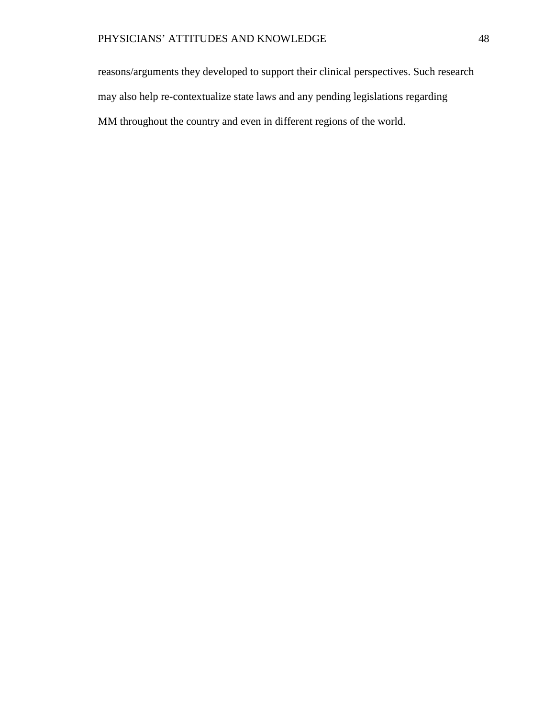reasons/arguments they developed to support their clinical perspectives. Such research may also help re-contextualize state laws and any pending legislations regarding MM throughout the country and even in different regions of the world.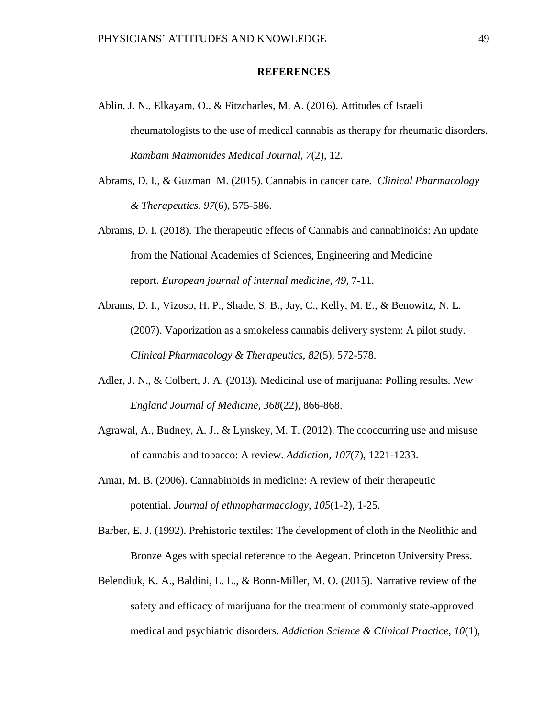#### **REFERENCES**

- Ablin, J. N., Elkayam, O., & Fitzcharles, M. A. (2016). Attitudes of Israeli rheumatologists to the use of medical cannabis as therapy for rheumatic disorders. *Rambam Maimonides Medical Journal, 7*(2), 12.
- Abrams, D. I., & Guzman M. (2015). Cannabis in cancer care*. Clinical Pharmacology & Therapeutics, 97*(6), 575-586.
- Abrams, D. I. (2018). The therapeutic effects of Cannabis and cannabinoids: An update from the National Academies of Sciences, Engineering and Medicine report. *European journal of internal medicine*, *49*, 7-11.
- Abrams, D. I., Vizoso, H. P., Shade, S. B., Jay, C., Kelly, M. E., & Benowitz, N. L. (2007). Vaporization as a smokeless cannabis delivery system: A pilot study. *Clinical Pharmacology & Therapeutics*, *82*(5), 572-578.
- Adler, J. N., & Colbert, J. A. (2013). Medicinal use of marijuana: Polling results*. New England Journal of Medicine, 368*(22), 866-868.
- Agrawal, A., Budney, A. J., & Lynskey, M. T. (2012). The cooccurring use and misuse of cannabis and tobacco: A review. *Addiction, 107*(7), 1221-1233.
- Amar, M. B. (2006). Cannabinoids in medicine: A review of their therapeutic potential. *Journal of ethnopharmacology*, *105*(1-2), 1-25.

Barber, E. J. (1992). Prehistoric textiles: The development of cloth in the Neolithic and Bronze Ages with special reference to the Aegean. Princeton University Press.

Belendiuk, K. A., Baldini, L. L., & Bonn-Miller, M. O. (2015). Narrative review of the safety and efficacy of marijuana for the treatment of commonly state-approved medical and psychiatric disorders. *Addiction Science & Clinical Practice*, *10*(1),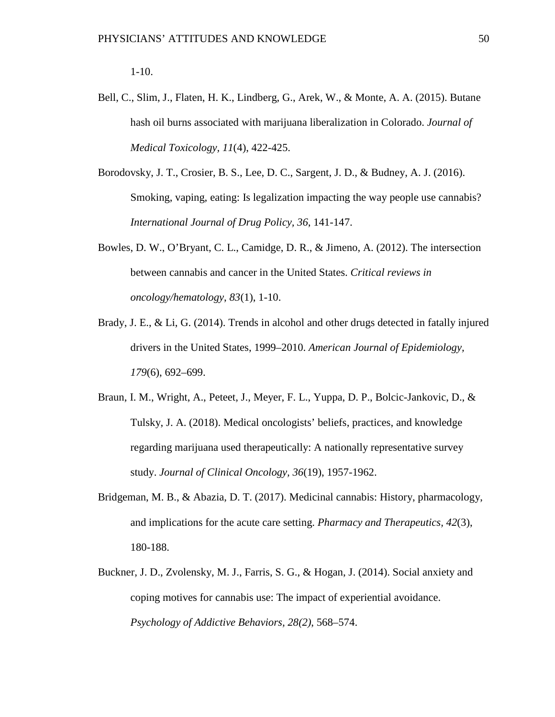- Bell, C., Slim, J., Flaten, H. K., Lindberg, G., Arek, W., & Monte, A. A. (2015). Butane hash oil burns associated with marijuana liberalization in Colorado. *Journal of Medical Toxicology, 11*(4), 422-425.
- Borodovsky, J. T., Crosier, B. S., Lee, D. C., Sargent, J. D., & Budney, A. J. (2016). Smoking, vaping, eating: Is legalization impacting the way people use cannabis? *International Journal of Drug Policy, 36*, 141-147.
- Bowles, D. W., O'Bryant, C. L., Camidge, D. R., & Jimeno, A. (2012). The intersection between cannabis and cancer in the United States. *Critical reviews in oncology/hematology*, *83*(1), 1-10.
- Brady, J. E., & Li, G. (2014). Trends in alcohol and other drugs detected in fatally injured drivers in the United States, 1999–2010. *American Journal of Epidemiology, 179*(6), 692–699.
- Braun, I. M., Wright, A., Peteet, J., Meyer, F. L., Yuppa, D. P., Bolcic-Jankovic, D., & Tulsky, J. A. (2018). Medical oncologists' beliefs, practices, and knowledge regarding marijuana used therapeutically: A nationally representative survey study. *Journal of Clinical Oncology, 36*(19), 1957-1962.
- Bridgeman, M. B., & Abazia, D. T. (2017). Medicinal cannabis: History, pharmacology, and implications for the acute care setting. *Pharmacy and Therapeutics, 42*(3), 180-188.
- Buckner, J. D., Zvolensky, M. J., Farris, S. G., & Hogan, J. (2014). Social anxiety and coping motives for cannabis use: The impact of experiential avoidance. *Psychology of Addictive Behaviors, 28(2)*, 568–574.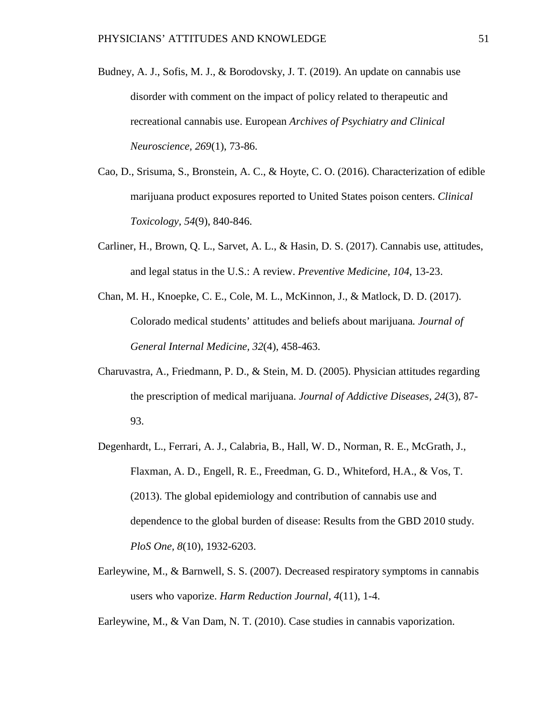- Budney, A. J., Sofis, M. J., & Borodovsky, J. T. (2019). An update on cannabis use disorder with comment on the impact of policy related to therapeutic and recreational cannabis use. European *Archives of Psychiatry and Clinical Neuroscience, 269*(1), 73-86.
- Cao, D., Srisuma, S., Bronstein, A. C., & Hoyte, C. O. (2016). Characterization of edible marijuana product exposures reported to United States poison centers. *Clinical Toxicology, 54*(9), 840-846.
- Carliner, H., Brown, Q. L., Sarvet, A. L., & Hasin, D. S. (2017). Cannabis use, attitudes, and legal status in the U.S.: A review. *Preventive Medicine, 104*, 13-23.
- Chan, M. H., Knoepke, C. E., Cole, M. L., McKinnon, J., & Matlock, D. D. (2017). Colorado medical students' attitudes and beliefs about marijuana*. Journal of General Internal Medicine, 32*(4), 458-463.
- Charuvastra, A., Friedmann, P. D., & Stein, M. D. (2005). Physician attitudes regarding the prescription of medical marijuana. *Journal of Addictive Diseases, 24*(3), 87- 93.
- Degenhardt, L., Ferrari, A. J., Calabria, B., Hall, W. D., Norman, R. E., McGrath, J., Flaxman, A. D., Engell, R. E., Freedman, G. D., Whiteford, H.A., & Vos, T. (2013). The global epidemiology and contribution of cannabis use and dependence to the global burden of disease: Results from the GBD 2010 study. *PloS One, 8*(10), 1932-6203.
- Earleywine, M., & Barnwell, S. S. (2007). Decreased respiratory symptoms in cannabis users who vaporize. *Harm Reduction Journal, 4*(11), 1-4.

Earleywine, M., & Van Dam, N. T. (2010). Case studies in cannabis vaporization.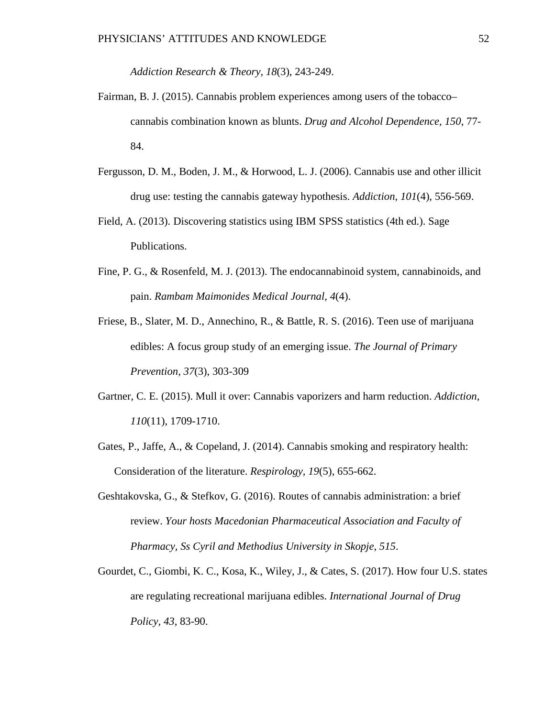*Addiction Research & Theory, 18*(3), 243-249.

- Fairman, B. J. (2015). Cannabis problem experiences among users of the tobacco– cannabis combination known as blunts. *Drug and Alcohol Dependence, 150*, 77- 84.
- Fergusson, D. M., Boden, J. M., & Horwood, L. J. (2006). Cannabis use and other illicit drug use: testing the cannabis gateway hypothesis. *Addiction*, *101*(4), 556-569.
- Field, A. (2013). Discovering statistics using IBM SPSS statistics (4th ed.). Sage Publications.
- Fine, P. G., & Rosenfeld, M. J. (2013). The endocannabinoid system, cannabinoids, and pain. *Rambam Maimonides Medical Journal*, *4*(4).
- Friese, B., Slater, M. D., Annechino, R., & Battle, R. S. (2016). Teen use of marijuana edibles: A focus group study of an emerging issue. *The Journal of Primary Prevention, 37*(3), 303-309
- Gartner, C. E. (2015). Mull it over: Cannabis vaporizers and harm reduction. *Addiction, 110*(11), 1709-1710.
- Gates, P., Jaffe, A., & Copeland, J. (2014). Cannabis smoking and respiratory health: Consideration of the literature. *Respirology, 19*(5), 655-662.
- Geshtakovska, G., & Stefkov, G. (2016). Routes of cannabis administration: a brief review. *Your hosts Macedonian Pharmaceutical Association and Faculty of Pharmacy, Ss Cyril and Methodius University in Skopje*, *515*.
- Gourdet, C., Giombi, K. C., Kosa, K., Wiley, J., & Cates, S. (2017). How four U.S. states are regulating recreational marijuana edibles. *International Journal of Drug Policy, 43*, 83-90.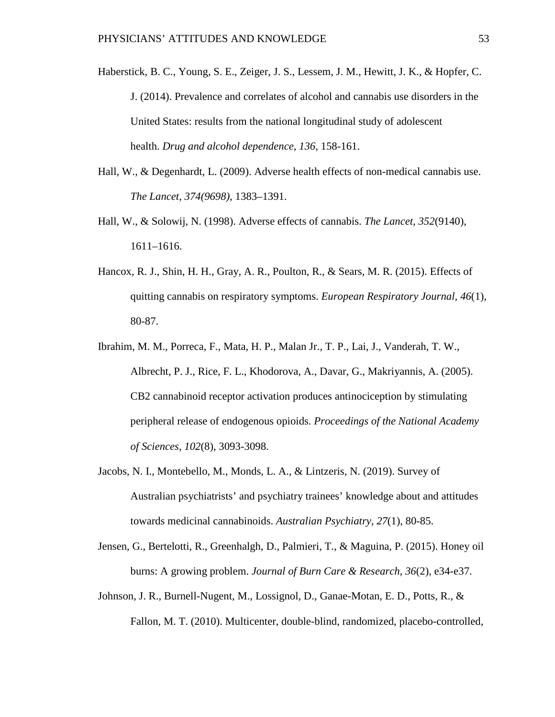- Haberstick, B. C., Young, S. E., Zeiger, J. S., Lessem, J. M., Hewitt, J. K., & Hopfer, C. J. (2014). Prevalence and correlates of alcohol and cannabis use disorders in the United States: results from the national longitudinal study of adolescent health. *Drug and alcohol dependence*, *136*, 158-161.
- Hall, W., & Degenhardt, L. (2009). Adverse health effects of non-medical cannabis use. *The Lancet, 374(9698)*, 1383–1391.
- Hall, W., & Solowij, N. (1998). Adverse effects of cannabis. *The Lancet, 352*(9140), 1611–1616.
- Hancox, R. J., Shin, H. H., Gray, A. R., Poulton, R., & Sears, M. R. (2015). Effects of quitting cannabis on respiratory symptoms. *European Respiratory Journal, 46*(1), 80-87.
- Ibrahim, M. M., Porreca, F., Mata, H. P., Malan Jr., T. P., Lai, J., Vanderah, T. W., Albrecht, P. J., Rice, F. L., Khodorova, A., Davar, G., Makriyannis, A. (2005). CB2 cannabinoid receptor activation produces antinociception by stimulating peripheral release of endogenous opioids. *Proceedings of the National Academy of Sciences*, *102*(8), 3093-3098.
- Jacobs, N. I., Montebello, M., Monds, L. A., & Lintzeris, N. (2019). Survey of Australian psychiatrists' and psychiatry trainees' knowledge about and attitudes towards medicinal cannabinoids. *Australian Psychiatry, 27*(1), 80-85.
- Jensen, G., Bertelotti, R., Greenhalgh, D., Palmieri, T., & Maguina, P. (2015). Honey oil burns: A growing problem. *Journal of Burn Care & Research, 36*(2), e34-e37.
- Johnson, J. R., Burnell-Nugent, M., Lossignol, D., Ganae-Motan, E. D., Potts, R., & Fallon, M. T. (2010). Multicenter, double-blind, randomized, placebo-controlled,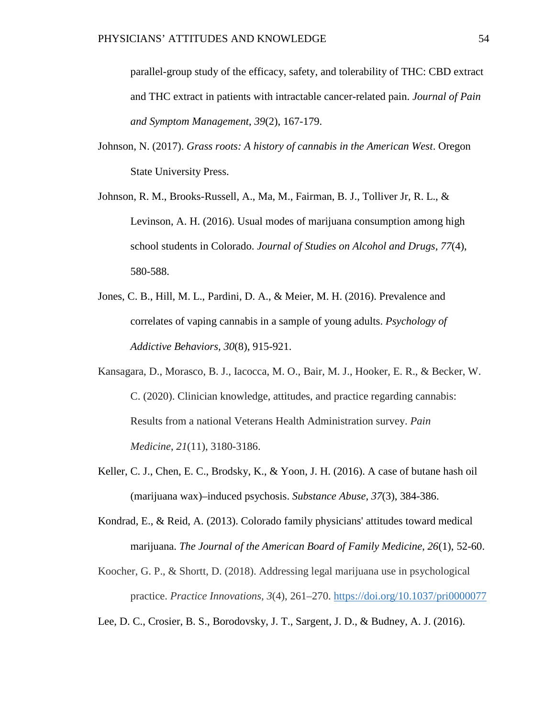parallel-group study of the efficacy, safety, and tolerability of THC: CBD extract and THC extract in patients with intractable cancer-related pain. *Journal of Pain and Symptom Management*, *39*(2), 167-179.

- Johnson, N. (2017). *Grass roots: A history of cannabis in the American West*. Oregon State University Press.
- Johnson, R. M., Brooks-Russell, A., Ma, M., Fairman, B. J., Tolliver Jr, R. L., & Levinson, A. H. (2016). Usual modes of marijuana consumption among high school students in Colorado. *Journal of Studies on Alcohol and Drugs, 77*(4), 580-588.
- Jones, C. B., Hill, M. L., Pardini, D. A., & Meier, M. H. (2016). Prevalence and correlates of vaping cannabis in a sample of young adults. *Psychology of Addictive Behaviors, 30*(8), 915-921.
- Kansagara, D., Morasco, B. J., Iacocca, M. O., Bair, M. J., Hooker, E. R., & Becker, W. C. (2020). Clinician knowledge, attitudes, and practice regarding cannabis: Results from a national Veterans Health Administration survey. *Pain Medicine*, *21*(11), 3180-3186.
- Keller, C. J., Chen, E. C., Brodsky, K., & Yoon, J. H. (2016). A case of butane hash oil (marijuana wax)–induced psychosis. *Substance Abuse, 37*(3), 384-386.
- Kondrad, E., & Reid, A. (2013). Colorado family physicians' attitudes toward medical marijuana. *The Journal of the American Board of Family Medicine*, *26*(1), 52-60.
- Koocher, G. P., & Shortt, D. (2018). Addressing legal marijuana use in psychological practice. *Practice Innovations, 3*(4), 261–270. [https://doi.org/10.1037/pri0000077](https://psycnet.apa.org/doi/10.1037/pri0000077)

Lee, D. C., Crosier, B. S., Borodovsky, J. T., Sargent, J. D., & Budney, A. J. (2016).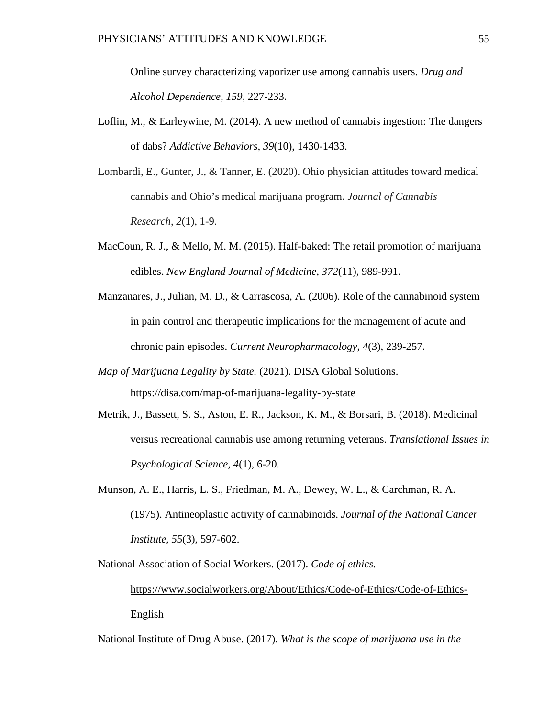Online survey characterizing vaporizer use among cannabis users. *Drug and Alcohol Dependence, 159*, 227-233.

- Loflin, M., & Earleywine, M. (2014). A new method of cannabis ingestion: The dangers of dabs? *Addictive Behaviors, 39*(10), 1430-1433.
- Lombardi, E., Gunter, J., & Tanner, E. (2020). Ohio physician attitudes toward medical cannabis and Ohio's medical marijuana program. *Journal of Cannabis Research*, *2*(1), 1-9.
- MacCoun, R. J., & Mello, M. M. (2015). Half-baked: The retail promotion of marijuana edibles. *New England Journal of Medicine, 372*(11), 989-991.
- Manzanares, J., Julian, M. D., & Carrascosa, A. (2006). Role of the cannabinoid system in pain control and therapeutic implications for the management of acute and chronic pain episodes. *Current Neuropharmacology*, *4*(3), 239-257.
- *Map of Marijuana Legality by State.* (2021). DISA Global Solutions. https://disa.com/map-of-marijuana-legality-by-state
- Metrik, J., Bassett, S. S., Aston, E. R., Jackson, K. M., & Borsari, B. (2018). Medicinal versus recreational cannabis use among returning veterans. *Translational Issues in Psychological Science, 4*(1), 6-20.
- Munson, A. E., Harris, L. S., Friedman, M. A., Dewey, W. L., & Carchman, R. A. (1975). Antineoplastic activity of cannabinoids. *Journal of the National Cancer Institute*, *55*(3), 597-602.

National Association of Social Workers. (2017). *Code of ethics.* [https://www.socialworkers.org/About/Ethics/Code-of-Ethics/Code-of-Ethics-](https://www.socialworkers.org/About/Ethics/Code-of-Ethics/Code-of-Ethics-English)English

National Institute of Drug Abuse. (2017). *What is the scope of marijuana use in the*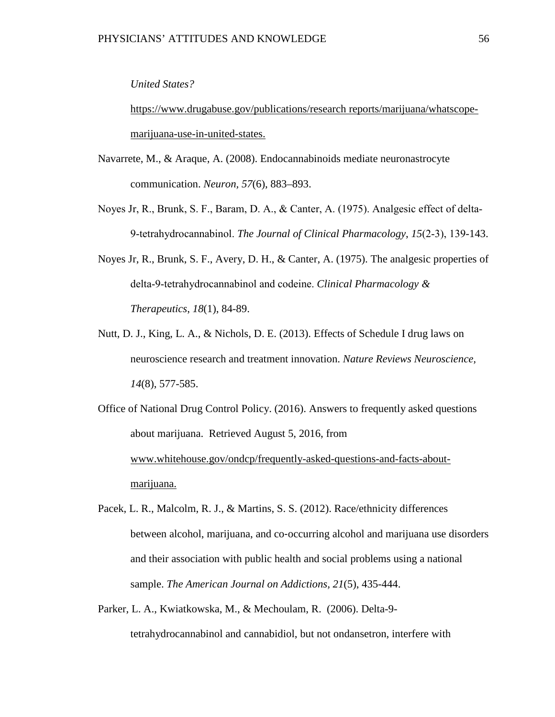#### *United States?*

https://www.drugabuse.gov/publications/research reports/marijuana/whatscopemarijuana-use-in-united-states.

- Navarrete, M., & Araque, A. (2008). Endocannabinoids mediate neuronastrocyte communication. *Neuron, 57*(6), 883–893.
- Noyes Jr, R., Brunk, S. F., Baram, D. A., & Canter, A. (1975). Analgesic effect of delta‐ 9‐tetrahydrocannabinol. *The Journal of Clinical Pharmacology*, *15*(2‐3), 139-143.
- Noyes Jr, R., Brunk, S. F., Avery, D. H., & Canter, A. (1975). The analgesic properties of delta‐9‐tetrahydrocannabinol and codeine. *Clinical Pharmacology & Therapeutics*, *18*(1), 84-89.
- Nutt, D. J., King, L. A., & Nichols, D. E. (2013). Effects of Schedule I drug laws on neuroscience research and treatment innovation. *Nature Reviews Neuroscience, 14*(8), 577-585.

Office of National Drug Control Policy. (2016). Answers to frequently asked questions about marijuana. Retrieved August 5, 2016, from [www.whitehouse.gov/ondcp/frequently-asked-questions-and-facts-about](http://www.whitehouse.gov/ondcp/frequently-asked-questions-and-facts-about-)marijuana.

- Pacek, L. R., Malcolm, R. J., & Martins, S. S. (2012). Race/ethnicity differences between alcohol, marijuana, and co-occurring alcohol and marijuana use disorders and their association with public health and social problems using a national sample. *The American Journal on Addictions, 21*(5), 435-444.
- Parker, L. A., Kwiatkowska, M., & Mechoulam, R. (2006). Delta-9 tetrahydrocannabinol and cannabidiol, but not ondansetron, interfere with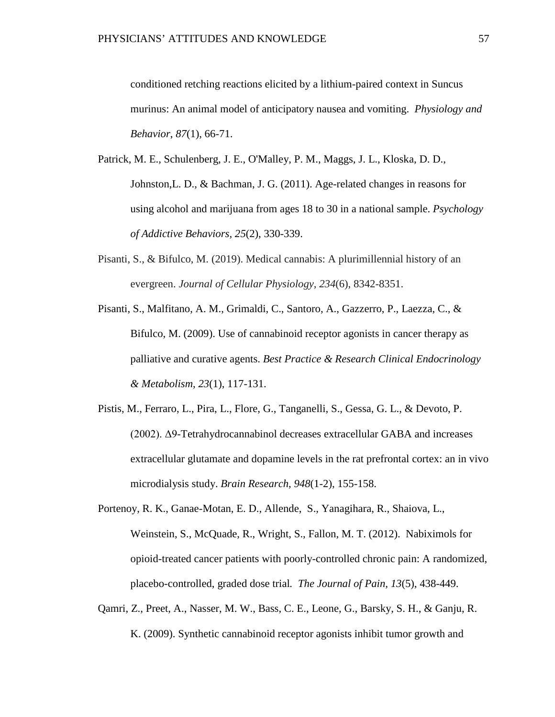conditioned retching reactions elicited by a lithium-paired context in Suncus murinus: An animal model of anticipatory nausea and vomiting. *Physiology and Behavior*, *87*(1), 66-71.

- Patrick, M. E., Schulenberg, J. E., O'Malley, P. M., Maggs, J. L., Kloska, D. D., Johnston,L. D., & Bachman, J. G. (2011). Age-related changes in reasons for using alcohol and marijuana from ages 18 to 30 in a national sample. *Psychology of Addictive Behaviors, 25*(2), 330-339.
- Pisanti, S., & Bifulco, M. (2019). Medical cannabis: A plurimillennial history of an evergreen. *Journal of Cellular Physiology*, *234*(6), 8342-8351.
- Pisanti, S., Malfitano, A. M., Grimaldi, C., Santoro, A., Gazzerro, P., Laezza, C., & Bifulco, M. (2009). Use of cannabinoid receptor agonists in cancer therapy as palliative and curative agents. *Best Practice & Research Clinical Endocrinology & Metabolism*, *23*(1), 117-131.
- Pistis, M., Ferraro, L., Pira, L., Flore, G., Tanganelli, S., Gessa, G. L., & Devoto, P. (2002). Δ9-Tetrahydrocannabinol decreases extracellular GABA and increases extracellular glutamate and dopamine levels in the rat prefrontal cortex: an in vivo microdialysis study. *Brain Research*, *948*(1-2), 155-158.
- Portenoy, R. K., Ganae-Motan, E. D., Allende, S., Yanagihara, R., Shaiova, L., Weinstein, S., McQuade, R., Wright, S., Fallon, M. T. (2012). Nabiximols for opioid-treated cancer patients with poorly-controlled chronic pain: A randomized, placebo-controlled, graded dose trial*. The Journal of Pain, 13*(5), 438-449.
- Qamri, Z., Preet, A., Nasser, M. W., Bass, C. E., Leone, G., Barsky, S. H., & Ganju, R. K. (2009). Synthetic cannabinoid receptor agonists inhibit tumor growth and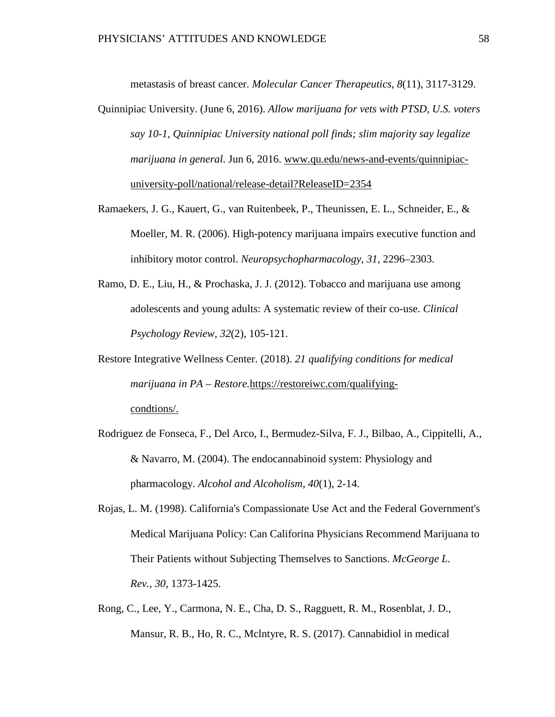metastasis of breast cancer. *Molecular Cancer Therapeutics*, *8*(11), 3117-3129.

- Quinnipiac University. (June 6, 2016). *Allow marijuana for vets with PTSD, U.S. voters say 10-1, Quinnipiac University national poll finds; slim majority say legalize marijuana in general*. Jun 6, 2016. [www.qu.edu/news-and-events/quinnipiac](http://www.qu.edu/news-and-events/quinnipiac-)university-poll/national/release-detail?ReleaseID=2354
- Ramaekers, J. G., Kauert, G., van Ruitenbeek, P., Theunissen, E. L., Schneider, E., & Moeller, M. R. (2006). High-potency marijuana impairs executive function and inhibitory motor control. *Neuropsychopharmacology, 31*, 2296–2303.
- Ramo, D. E., Liu, H., & Prochaska, J. J. (2012). Tobacco and marijuana use among adolescents and young adults: A systematic review of their co-use. *Clinical Psychology Review, 32*(2), 105-121.
- Restore Integrative Wellness Center. (2018). *21 qualifying conditions for medical marijuana in PA – Restore.*https://restoreiwc.com/qualifyingcondtions/.
- Rodriguez de Fonseca, F., Del Arco, I., Bermudez-Silva, F. J., Bilbao, A., Cippitelli, A., & Navarro, M. (2004). The endocannabinoid system: Physiology and pharmacology. *Alcohol and Alcoholism, 40*(1), 2-14.
- Rojas, L. M. (1998). California's Compassionate Use Act and the Federal Government's Medical Marijuana Policy: Can Califorina Physicians Recommend Marijuana to Their Patients without Subjecting Themselves to Sanctions. *McGeorge L. Rev.*, *30*, 1373-1425.
- Rong, C., Lee, Y., Carmona, N. E., Cha, D. S., Ragguett, R. M., Rosenblat, J. D., Mansur, R. B., Ho, R. C., Mclntyre, R. S. (2017). Cannabidiol in medical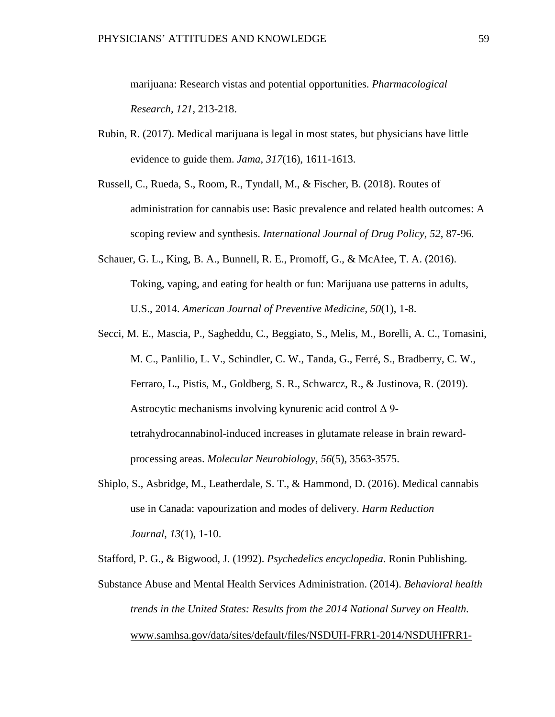marijuana: Research vistas and potential opportunities. *Pharmacological Research, 121,* 213-218.

- Rubin, R. (2017). Medical marijuana is legal in most states, but physicians have little evidence to guide them. *Jama*, *317*(16), 1611-1613.
- Russell, C., Rueda, S., Room, R., Tyndall, M., & Fischer, B. (2018). Routes of administration for cannabis use: Basic prevalence and related health outcomes: A scoping review and synthesis. *International Journal of Drug Policy, 52*, 87-96.
- Schauer, G. L., King, B. A., Bunnell, R. E., Promoff, G., & McAfee, T. A. (2016). Toking, vaping, and eating for health or fun: Marijuana use patterns in adults, U.S., 2014. *American Journal of Preventive Medicine, 50*(1), 1-8.
- Secci, M. E., Mascia, P., Sagheddu, C., Beggiato, S., Melis, M., Borelli, A. C., Tomasini, M. C., Panlilio, L. V., Schindler, C. W., Tanda, G., Ferré, S., Bradberry, C. W., Ferraro, L., Pistis, M., Goldberg, S. R., Schwarcz, R., & Justinova, R. (2019). Astrocytic mechanisms involving kynurenic acid control Δ 9 tetrahydrocannabinol-induced increases in glutamate release in brain rewardprocessing areas. *Molecular Neurobiology, 56*(5), 3563-3575.
- Shiplo, S., Asbridge, M., Leatherdale, S. T., & Hammond, D. (2016). Medical cannabis use in Canada: vapourization and modes of delivery. *Harm Reduction Journal*, *13*(1), 1-10.

Stafford, P. G., & Bigwood, J. (1992). *[Psychedelics encyclopedia](https://books.google.com/books?id=o4_pLqCOyDsC&pg=PA157)*. Ronin Publishing.

Substance Abuse and Mental Health Services Administration. (2014). *Behavioral health trends in the United States: Results from the 2014 National Survey on Health.*  [www.samhsa.gov/data/sites/default/files/NSDUH-FRR1-2014/NSDUHFRR1-](http://www.samhsa.gov/data/sites/default/files/NSDUH-FRR1-2014/NSDUHFRR1-)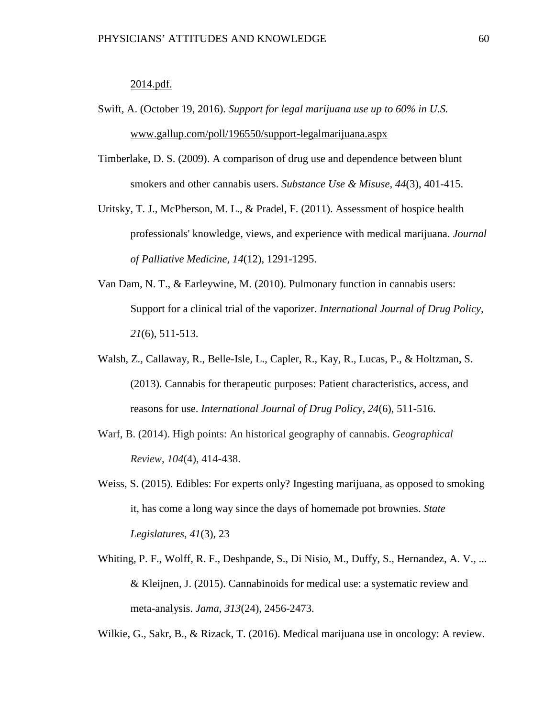#### 2014.pdf.

- Swift, A. (October 19, 2016). *Support for legal marijuana use up to 60% in U.S.* [www.gallup.com/poll/196550/support-legalmarijuana.aspx](http://www.gallup.com/poll/196550/support-legalmarijuana.aspx)
- Timberlake, D. S. (2009). A comparison of drug use and dependence between blunt smokers and other cannabis users. *Substance Use & Misuse, 44*(3), 401-415.
- Uritsky, T. J., McPherson, M. L., & Pradel, F. (2011). Assessment of hospice health professionals' knowledge, views, and experience with medical marijuana. *Journal of Palliative Medicine, 14*(12), 1291-1295.
- Van Dam, N. T., & Earleywine, M. (2010). Pulmonary function in cannabis users: Support for a clinical trial of the vaporizer. *International Journal of Drug Policy, 21*(6), 511-513.
- Walsh, Z., Callaway, R., Belle-Isle, L., Capler, R., Kay, R., Lucas, P., & Holtzman, S. (2013). Cannabis for therapeutic purposes: Patient characteristics, access, and reasons for use. *International Journal of Drug Policy, 24*(6), 511-516.
- Warf, B. (2014). High points: An historical geography of cannabis. *Geographical Review*, *104*(4), 414-438.
- Weiss, S. (2015). Edibles: For experts only? Ingesting marijuana, as opposed to smoking it, has come a long way since the days of homemade pot brownies. *State Legislatures, 41*(3), 23
- Whiting, P. F., Wolff, R. F., Deshpande, S., Di Nisio, M., Duffy, S., Hernandez, A. V., ... & Kleijnen, J. (2015). Cannabinoids for medical use: a systematic review and meta-analysis. *Jama*, *313*(24), 2456-2473.

Wilkie, G., Sakr, B., & Rizack, T. (2016). Medical marijuana use in oncology: A review.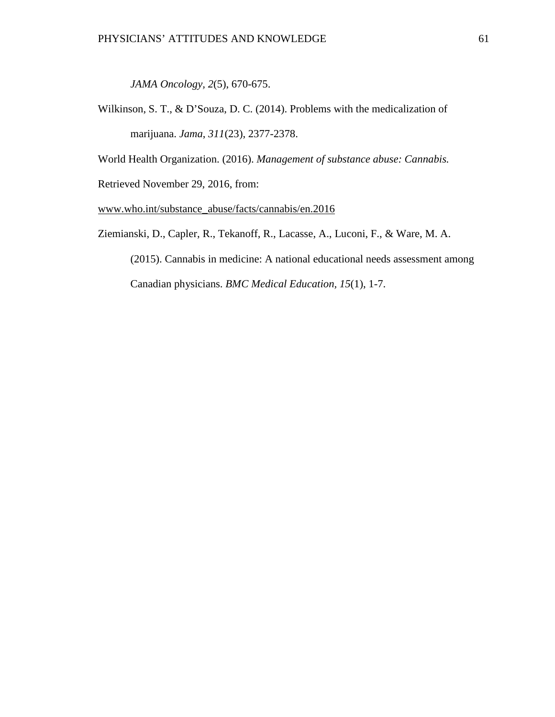*JAMA Oncology, 2*(5), 670-675.

Wilkinson, S. T., & D'Souza, D. C. (2014). Problems with the medicalization of marijuana. *Jama*, *311*(23), 2377-2378.

World Health Organization. (2016). *Management of substance abuse: Cannabis.*

Retrieved November 29, 2016, from:

www.who.int/substance\_abuse/facts/cannabis/en.2016

Ziemianski, D., Capler, R., Tekanoff, R., Lacasse, A., Luconi, F., & Ware, M. A.

(2015). Cannabis in medicine: A national educational needs assessment among Canadian physicians. *BMC Medical Education, 15*(1), 1-7.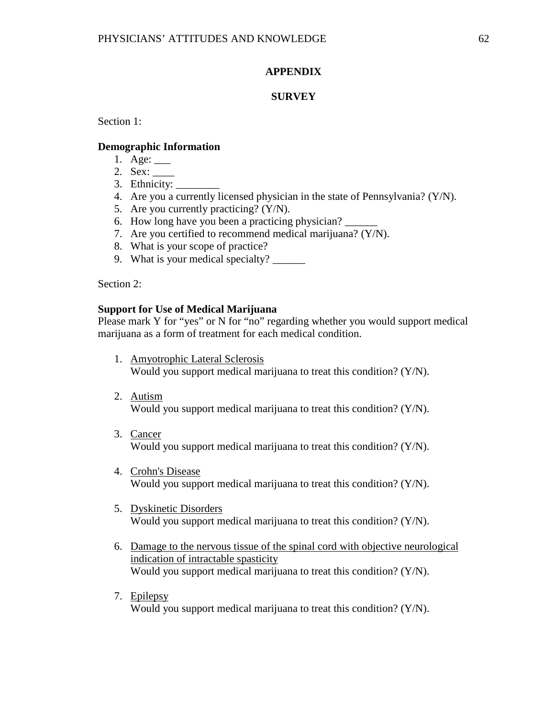### **APPENDIX**

### **SURVEY**

Section 1:

#### **Demographic Information**

- 1. Age: \_\_\_
- 2. Sex: \_\_\_\_
- 3. Ethnicity:
- 4. Are you a currently licensed physician in the state of Pennsylvania? (Y/N).
- 5. Are you currently practicing? (Y/N).
- 6. How long have you been a practicing physician? \_\_\_\_\_\_
- 7. Are you certified to recommend medical marijuana? (Y/N).
- 8. What is your scope of practice?
- 9. What is your medical specialty?

Section 2:

### **Support for Use of Medical Marijuana**

Please mark Y for "yes" or N for "no" regarding whether you would support medical marijuana as a form of treatment for each medical condition.

- 1. Amyotrophic Lateral Sclerosis Would you support medical marijuana to treat this condition? (Y/N).
- 2. Autism Would you support medical marijuana to treat this condition? (Y/N).
- 3. Cancer Would you support medical marijuana to treat this condition? (Y/N).
- 4. Crohn's Disease Would you support medical marijuana to treat this condition? (Y/N).
- 5. Dyskinetic Disorders Would you support medical marijuana to treat this condition? (Y/N).
- 6. Damage to the nervous tissue of the spinal cord with objective neurological indication of intractable spasticity Would you support medical marijuana to treat this condition? (Y/N).
- 7. Epilepsy Would you support medical marijuana to treat this condition? (Y/N).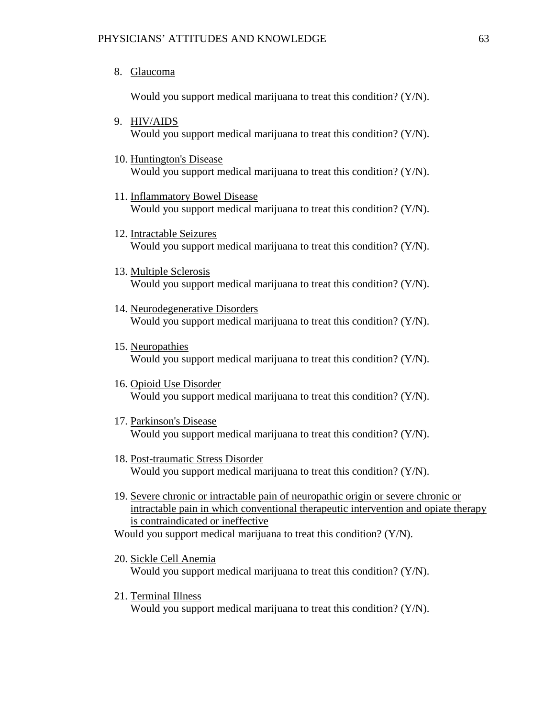8. Glaucoma

Would you support medical marijuana to treat this condition? (Y/N).

- 9. HIV/AIDS Would you support medical marijuana to treat this condition? (Y/N).
- 10. Huntington's Disease Would you support medical marijuana to treat this condition? (Y/N).
- 11. Inflammatory Bowel Disease Would you support medical marijuana to treat this condition? (Y/N).
- 12. Intractable Seizures Would you support medical marijuana to treat this condition? (Y/N).
- 13. Multiple Sclerosis Would you support medical marijuana to treat this condition? (Y/N).
- 14. Neurodegenerative Disorders Would you support medical marijuana to treat this condition? (Y/N).
- 15. Neuropathies Would you support medical marijuana to treat this condition? (Y/N).
- 16. Opioid Use Disorder Would you support medical marijuana to treat this condition? (Y/N).
- 17. Parkinson's Disease Would you support medical marijuana to treat this condition? (Y/N).
- 18. Post-traumatic Stress Disorder Would you support medical marijuana to treat this condition? (Y/N).
- 19. Severe chronic or intractable pain of neuropathic origin or severe chronic or intractable pain in which conventional therapeutic intervention and opiate therapy is contraindicated or ineffective

Would you support medical marijuana to treat this condition? (Y/N).

- 20. Sickle Cell Anemia Would you support medical marijuana to treat this condition? (Y/N).
- 21. Terminal Illness Would you support medical marijuana to treat this condition? (Y/N).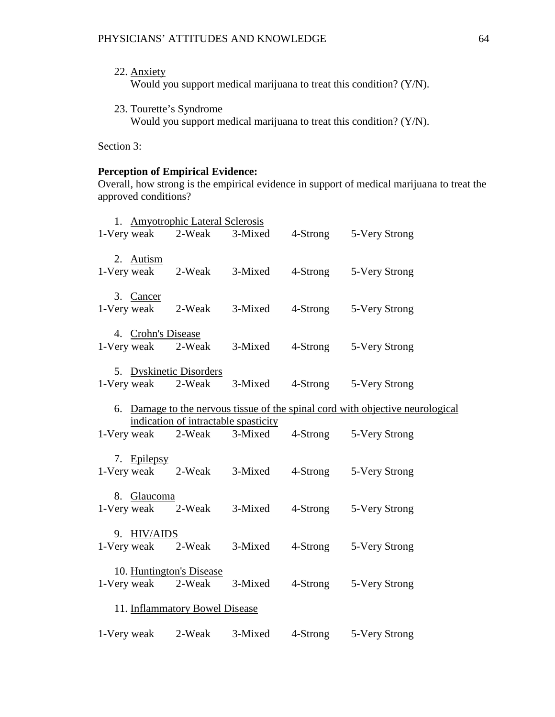- 22. Anxiety Would you support medical marijuana to treat this condition? (Y/N).
- 23. Tourette's Syndrome Would you support medical marijuana to treat this condition? (Y/N).

Section 3:

## **Perception of Empirical Evidence:**

Overall, how strong is the empirical evidence in support of medical marijuana to treat the approved conditions?

|                                |                    | 1. Amyotrophic Lateral Sclerosis     |                            |  |                                                                                |  |
|--------------------------------|--------------------|--------------------------------------|----------------------------|--|--------------------------------------------------------------------------------|--|
|                                |                    |                                      | 1-Very weak 2-Weak 3-Mixed |  | 4-Strong 5-Very Strong                                                         |  |
|                                | 2. Autism          |                                      | 1-Very weak 2-Weak 3-Mixed |  | 4-Strong 5-Very Strong                                                         |  |
|                                | 3. Cancer          |                                      | 1-Very weak 2-Weak 3-Mixed |  | 4-Strong 5-Very Strong                                                         |  |
|                                | 4. Crohn's Disease |                                      | 1-Very weak 2-Weak 3-Mixed |  | 4-Strong 5-Very Strong                                                         |  |
|                                |                    | 5. Dyskinetic Disorders              | 1-Very weak 2-Weak 3-Mixed |  | 4-Strong 5-Very Strong                                                         |  |
|                                |                    |                                      |                            |  | 6. Damage to the nervous tissue of the spinal cord with objective neurological |  |
|                                |                    | indication of intractable spasticity | 1-Very weak 2-Weak 3-Mixed |  | 4-Strong 5-Very Strong                                                         |  |
|                                | 7. Epilepsy        |                                      | 1-Very weak 2-Weak 3-Mixed |  | 4-Strong 5-Very Strong                                                         |  |
|                                | 8. Glaucoma        |                                      | 1-Very weak 2-Weak 3-Mixed |  | 4-Strong 5-Very Strong                                                         |  |
|                                | 9. HIV/AIDS        |                                      | 1-Very weak 2-Weak 3-Mixed |  | 4-Strong 5-Very Strong                                                         |  |
|                                |                    | 10. Huntington's Disease             | 1-Very weak 2-Weak 3-Mixed |  | 4-Strong 5-Very Strong                                                         |  |
| 11. Inflammatory Bowel Disease |                    |                                      |                            |  |                                                                                |  |
|                                | 1-Very weak        | 2-Weak                               | 3-Mixed                    |  | 4-Strong 5-Very Strong                                                         |  |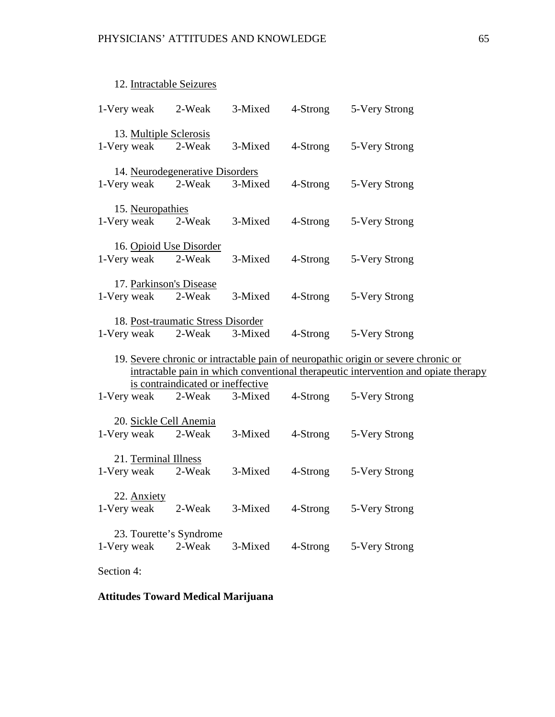## 12. Intractable Seizures

| 1-Very weak |                                       | 2-Weak                                       | 3-Mixed | 4-Strong | 5-Very Strong                                                                                                                                                           |
|-------------|---------------------------------------|----------------------------------------------|---------|----------|-------------------------------------------------------------------------------------------------------------------------------------------------------------------------|
| 1-Very weak | 13. Multiple Sclerosis                | 2-Weak                                       | 3-Mixed | 4-Strong | 5-Very Strong                                                                                                                                                           |
| 1-Very weak |                                       | 14. Neurodegenerative Disorders<br>2-Weak    | 3-Mixed | 4-Strong | 5-Very Strong                                                                                                                                                           |
|             | 15. Neuropathies<br>1-Very weak       | 2-Weak                                       | 3-Mixed | 4-Strong | 5-Very Strong                                                                                                                                                           |
|             | 1-Very weak                           | 16. Opioid Use Disorder<br>2-Weak            | 3-Mixed | 4-Strong | 5-Very Strong                                                                                                                                                           |
|             | 1-Very weak                           | 17. Parkinson's Disease<br>2-Weak            | 3-Mixed | 4-Strong | 5-Very Strong                                                                                                                                                           |
|             | 1-Very weak                           | 18. Post-traumatic Stress Disorder<br>2-Weak | 3-Mixed | 4-Strong | 5-Very Strong                                                                                                                                                           |
|             |                                       |                                              |         |          | 19. Severe chronic or intractable pain of neuropathic origin or severe chronic or<br>intractable pain in which conventional therapeutic intervention and opiate therapy |
|             | 1-Very weak                           | is contraindicated or ineffective<br>2-Weak  | 3-Mixed | 4-Strong | 5-Very Strong                                                                                                                                                           |
|             | 20. Sickle Cell Anemia<br>1-Very weak | 2-Weak                                       | 3-Mixed | 4-Strong | 5-Very Strong                                                                                                                                                           |
|             | 21. Terminal Illness<br>1-Very weak   | 2-Weak                                       | 3-Mixed | 4-Strong | 5-Very Strong                                                                                                                                                           |
| 1-Very weak | 22. Anxiety                           | 2-Weak                                       | 3-Mixed | 4-Strong | 5-Very Strong                                                                                                                                                           |
| 1-Very weak |                                       | 23. Tourette's Syndrome<br>2-Weak            | 3-Mixed | 4-Strong | 5-Very Strong                                                                                                                                                           |
| Section 4:  |                                       |                                              |         |          |                                                                                                                                                                         |

# **Attitudes Toward Medical Marijuana**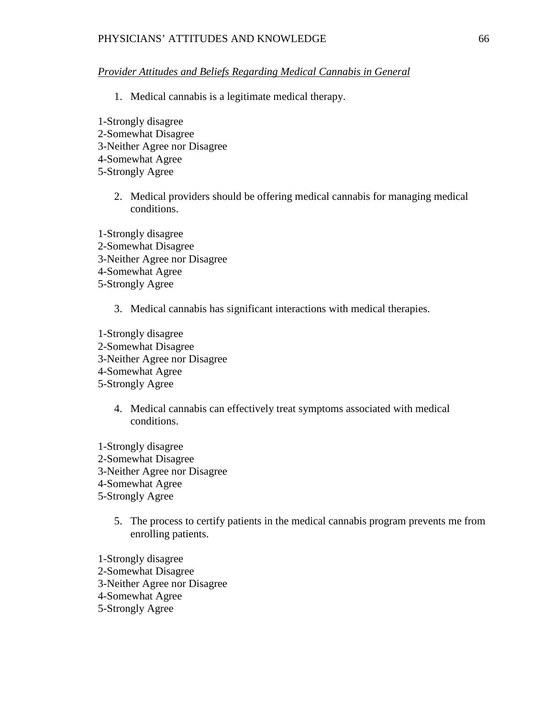#### PHYSICIANS' ATTITUDES AND KNOWLEDGE 66

### *Provider Attitudes and Beliefs Regarding Medical Cannabis in General*

- 1. Medical cannabis is a legitimate medical therapy.
- 1-Strongly disagree 2-Somewhat Disagree 3-Neither Agree nor Disagree 4-Somewhat Agree 5-Strongly Agree
	- 2. Medical providers should be offering medical cannabis for managing medical conditions.

1-Strongly disagree 2-Somewhat Disagree 3-Neither Agree nor Disagree 4-Somewhat Agree 5-Strongly Agree

3. Medical cannabis has significant interactions with medical therapies.

1-Strongly disagree 2-Somewhat Disagree 3-Neither Agree nor Disagree 4-Somewhat Agree 5-Strongly Agree

- 4. Medical cannabis can effectively treat symptoms associated with medical conditions.
- 1-Strongly disagree 2-Somewhat Disagree 3-Neither Agree nor Disagree 4-Somewhat Agree 5-Strongly Agree
	- 5. The process to certify patients in the medical cannabis program prevents me from enrolling patients.
- 1-Strongly disagree 2-Somewhat Disagree 3-Neither Agree nor Disagree 4-Somewhat Agree
- 5-Strongly Agree